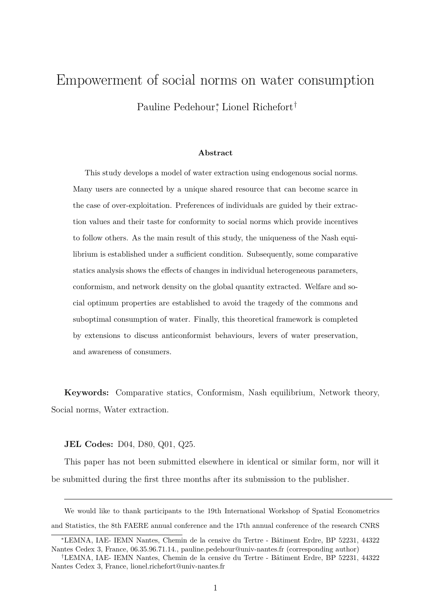# Empowerment of social norms on water consumption Pauline Pedehour<sup>\*</sup>, Lionel Richefort<sup>†</sup>

#### **Abstract**

This study develops a model of water extraction using endogenous social norms. Many users are connected by a unique shared resource that can become scarce in the case of over-exploitation. Preferences of individuals are guided by their extraction values and their taste for conformity to social norms which provide incentives to follow others. As the main result of this study, the uniqueness of the Nash equilibrium is established under a sufficient condition. Subsequently, some comparative statics analysis shows the effects of changes in individual heterogeneous parameters, conformism, and network density on the global quantity extracted. Welfare and social optimum properties are established to avoid the tragedy of the commons and suboptimal consumption of water. Finally, this theoretical framework is completed by extensions to discuss anticonformist behaviours, levers of water preservation, and awareness of consumers.

**Keywords:** Comparative statics, Conformism, Nash equilibrium, Network theory, Social norms, Water extraction.

**JEL Codes:** D04, D80, Q01, Q25.

This paper has not been submitted elsewhere in identical or similar form, nor will it be submitted during the first three months after its submission to the publisher.

We would like to thank participants to the 19th International Workshop of Spatial Econometrics and Statistics, the 8th FAERE annual conference and the 17th annual conference of the research CNRS

<sup>∗</sup>LEMNA, IAE- IEMN Nantes, Chemin de la censive du Tertre - Bâtiment Erdre, BP 52231, 44322 Nantes Cedex 3, France, 06.35.96.71.14., pauline.pedehour@univ-nantes.fr (corresponding author)

<sup>†</sup>LEMNA, IAE- IEMN Nantes, Chemin de la censive du Tertre - Bâtiment Erdre, BP 52231, 44322 Nantes Cedex 3, France, lionel.richefort@univ-nantes.fr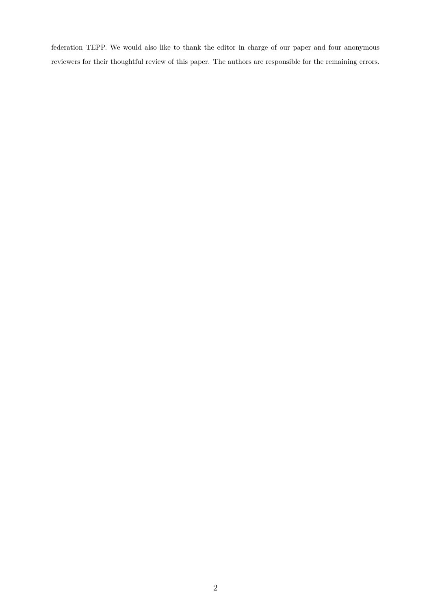federation TEPP. We would also like to thank the editor in charge of our paper and four anonymous reviewers for their thoughtful review of this paper. The authors are responsible for the remaining errors.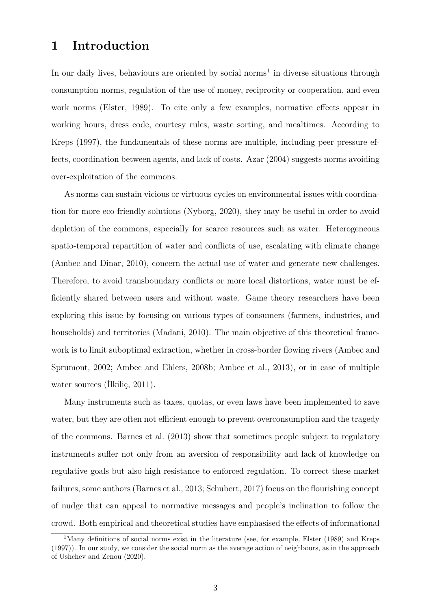# **1 Introduction**

In our daily lives, behaviours are oriented by social norms<sup>1</sup> in diverse situations through consumption norms, regulation of the use of money, reciprocity or cooperation, and even work norms (Elster, 1989). To cite only a few examples, normative effects appear in working hours, dress code, courtesy rules, waste sorting, and mealtimes. According to Kreps (1997), the fundamentals of these norms are multiple, including peer pressure effects, coordination between agents, and lack of costs. Azar (2004) suggests norms avoiding over-exploitation of the commons.

As norms can sustain vicious or virtuous cycles on environmental issues with coordination for more eco-friendly solutions (Nyborg, 2020), they may be useful in order to avoid depletion of the commons, especially for scarce resources such as water. Heterogeneous spatio-temporal repartition of water and conflicts of use, escalating with climate change (Ambec and Dinar, 2010), concern the actual use of water and generate new challenges. Therefore, to avoid transboundary conflicts or more local distortions, water must be efficiently shared between users and without waste. Game theory researchers have been exploring this issue by focusing on various types of consumers (farmers, industries, and households) and territories (Madani, 2010). The main objective of this theoretical framework is to limit suboptimal extraction, whether in cross-border flowing rivers (Ambec and Sprumont, 2002; Ambec and Ehlers, 2008b; Ambec et al., 2013), or in case of multiple water sources (İlkiliç, 2011).

Many instruments such as taxes, quotas, or even laws have been implemented to save water, but they are often not efficient enough to prevent overconsumption and the tragedy of the commons. Barnes et al. (2013) show that sometimes people subject to regulatory instruments suffer not only from an aversion of responsibility and lack of knowledge on regulative goals but also high resistance to enforced regulation. To correct these market failures, some authors (Barnes et al., 2013; Schubert, 2017) focus on the flourishing concept of nudge that can appeal to normative messages and people's inclination to follow the crowd. Both empirical and theoretical studies have emphasised the effects of informational

<sup>&</sup>lt;sup>1</sup>Many definitions of social norms exist in the literature (see, for example, Elster (1989) and Kreps (1997)). In our study, we consider the social norm as the average action of neighbours, as in the approach of Ushchev and Zenou (2020).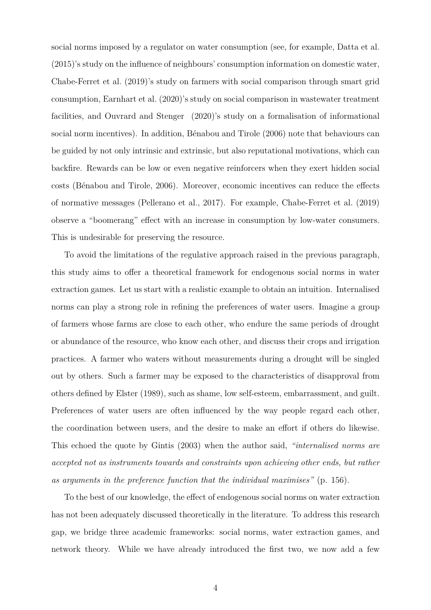social norms imposed by a regulator on water consumption (see, for example, Datta et al. (2015)'s study on the influence of neighbours' consumption information on domestic water, Chabe-Ferret et al. (2019)'s study on farmers with social comparison through smart grid consumption, Earnhart et al. (2020)'s study on social comparison in wastewater treatment facilities, and Ouvrard and Stenger (2020)'s study on a formalisation of informational social norm incentives). In addition, Bénabou and Tirole (2006) note that behaviours can be guided by not only intrinsic and extrinsic, but also reputational motivations, which can backfire. Rewards can be low or even negative reinforcers when they exert hidden social costs (Bénabou and Tirole, 2006). Moreover, economic incentives can reduce the effects of normative messages (Pellerano et al., 2017). For example, Chabe-Ferret et al. (2019) observe a "boomerang" effect with an increase in consumption by low-water consumers. This is undesirable for preserving the resource.

To avoid the limitations of the regulative approach raised in the previous paragraph, this study aims to offer a theoretical framework for endogenous social norms in water extraction games. Let us start with a realistic example to obtain an intuition. Internalised norms can play a strong role in refining the preferences of water users. Imagine a group of farmers whose farms are close to each other, who endure the same periods of drought or abundance of the resource, who know each other, and discuss their crops and irrigation practices. A farmer who waters without measurements during a drought will be singled out by others. Such a farmer may be exposed to the characteristics of disapproval from others defined by Elster (1989), such as shame, low self-esteem, embarrassment, and guilt. Preferences of water users are often influenced by the way people regard each other, the coordination between users, and the desire to make an effort if others do likewise. This echoed the quote by Gintis (2003) when the author said, *"internalised norms are accepted not as instruments towards and constraints upon achieving other ends, but rather as arguments in the preference function that the individual maximises"* (p. 156).

To the best of our knowledge, the effect of endogenous social norms on water extraction has not been adequately discussed theoretically in the literature. To address this research gap, we bridge three academic frameworks: social norms, water extraction games, and network theory. While we have already introduced the first two, we now add a few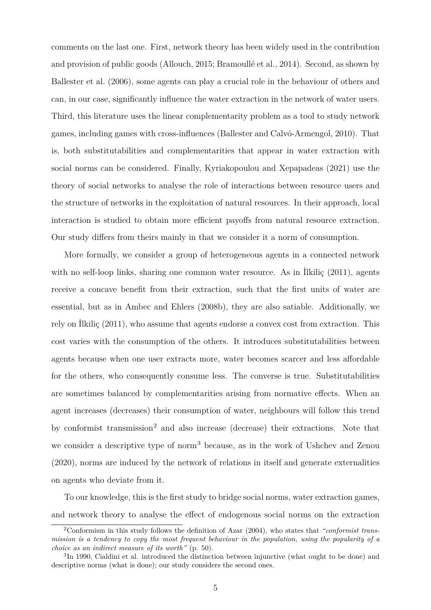comments on the last one. First, network theory has been widely used in the contribution and provision of public goods (Allouch, 2015; Bramoullé et al., 2014). Second, as shown by Ballester et al. (2006), some agents can play a crucial role in the behaviour of others and can, in our case, significantly influence the water extraction in the network of water users. Third, this literature uses the linear complementarity problem as a tool to study network games, including games with cross-influences (Ballester and Calvó-Armengol, 2010). That is, both substitutabilities and complementarities that appear in water extraction with social norms can be considered. Finally, Kyriakopoulou and Xepapadeas (2021) use the theory of social networks to analyse the role of interactions between resource users and the structure of networks in the exploitation of natural resources. In their approach, local interaction is studied to obtain more efficient payoffs from natural resource extraction. Our study differs from theirs mainly in that we consider it a norm of consumption.

More formally, we consider a group of heterogeneous agents in a connected network with no self-loop links, sharing one common water resource. As in Ilkilic (2011), agents receive a concave benefit from their extraction, such that the first units of water are essential, but as in Ambec and Ehlers (2008b), they are also satiable. Additionally, we rely on İlkiliç (2011), who assume that agents endorse a convex cost from extraction. This cost varies with the consumption of the others. It introduces substitutabilities between agents because when one user extracts more, water becomes scarcer and less affordable for the others, who consequently consume less. The converse is true. Substitutabilities are sometimes balanced by complementarities arising from normative effects. When an agent increases (decreases) their consumption of water, neighbours will follow this trend by conformist transmission<sup>2</sup> and also increase (decrease) their extractions. Note that we consider a descriptive type of norm<sup>3</sup> because, as in the work of Ushchev and Zenou (2020), norms are induced by the network of relations in itself and generate externalities on agents who deviate from it.

To our knowledge, this is the first study to bridge social norms, water extraction games, and network theory to analyse the effect of endogenous social norms on the extraction

<sup>2</sup>Conformism in this study follows the definition of Azar (2004), who states that *"conformist transmission is a tendency to copy the most frequent behaviour in the population, using the popularity of a choice as an indirect measure of its worth"* (p. 50).

<sup>&</sup>lt;sup>3</sup>In 1990, Cialdini et al. introduced the distinction between injunctive (what ought to be done) and descriptive norms (what is done); our study considers the second ones.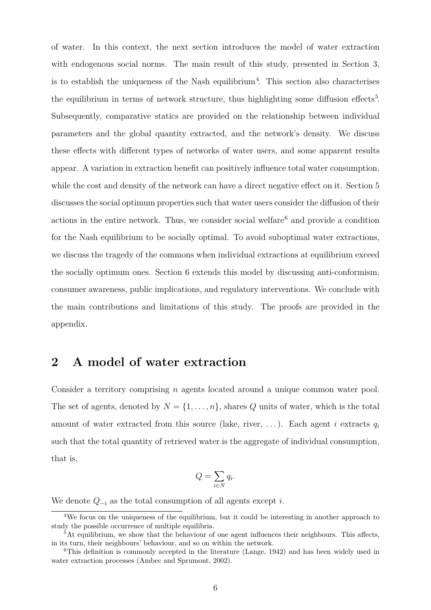of water. In this context, the next section introduces the model of water extraction with endogenous social norms. The main result of this study, presented in Section 3, is to establish the uniqueness of the Nash equilibrium<sup>4</sup>. This section also characterises the equilibrium in terms of network structure, thus highlighting some diffusion effects<sup>5</sup>. Subsequently, comparative statics are provided on the relationship between individual parameters and the global quantity extracted, and the network's density. We discuss these effects with different types of networks of water users, and some apparent results appear. A variation in extraction benefit can positively influence total water consumption, while the cost and density of the network can have a direct negative effect on it. Section 5 discusses the social optimum properties such that water users consider the diffusion of their actions in the entire network. Thus, we consider social welfare<sup>6</sup> and provide a condition for the Nash equilibrium to be socially optimal. To avoid suboptimal water extractions, we discuss the tragedy of the commons when individual extractions at equilibrium exceed the socially optimum ones. Section 6 extends this model by discussing anti-conformism, consumer awareness, public implications, and regulatory interventions. We conclude with the main contributions and limitations of this study. The proofs are provided in the appendix.

# **2 A model of water extraction**

Consider a territory comprising *n* agents located around a unique common water pool. The set of agents, denoted by  $N = \{1, \ldots, n\}$ , shares *Q* units of water, which is the total amount of water extracted from this source (lake, river, . . . ). Each agent *i* extracts *q<sup>i</sup>* such that the total quantity of retrieved water is the aggregate of individual consumption, that is,

$$
Q = \sum_{i \in N} q_i.
$$

We denote *Q−<sup>i</sup>* as the total consumption of all agents except *i*.

<sup>4</sup>We focus on the uniqueness of the equilibrium, but it could be interesting in another approach to study the possible occurrence of multiple equilibria.

<sup>&</sup>lt;sup>5</sup>At equilibrium, we show that the behaviour of one agent influences their neighbours. This affects, in its turn, their neighbours' behaviour, and so on within the network.

<sup>&</sup>lt;sup>6</sup>This definition is commonly accepted in the literature (Lange, 1942) and has been widely used in water extraction processes (Ambec and Sprumont, 2002).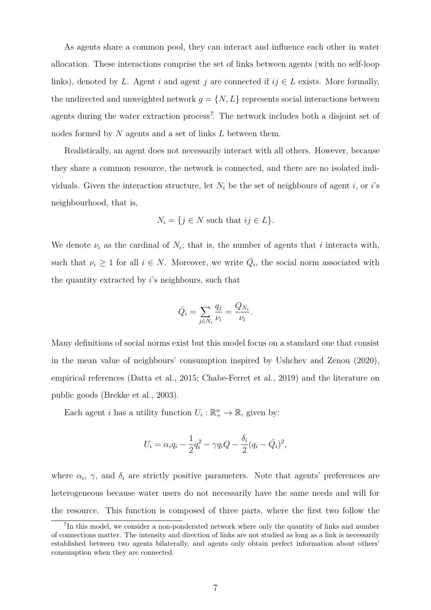As agents share a common pool, they can interact and influence each other in water allocation. These interactions comprise the set of links between agents (with no self-loop links), denoted by *L*. Agent *i* and agent *j* are connected if  $ij \in L$  exists. More formally, the undirected and unweighted network  $g = \{N, L\}$  represents social interactions between agents during the water extraction process<sup>7</sup>. The network includes both a disjoint set of nodes formed by *N* agents and a set of links *L* between them.

Realistically, an agent does not necessarily interact with all others. However, because they share a common resource, the network is connected, and there are no isolated individuals. Given the interaction structure, let  $N_i$  be the set of neighbours of agent *i*, or *i*'s neighbourhood, that is,

$$
N_i = \{ j \in N \text{ such that } ij \in L \}.
$$

We denote  $\nu_i$  as the cardinal of  $N_i$ ; that is, the number of agents that *i* interacts with, such that  $\nu_i \geq 1$  for all  $i \in N$ . Moreover, we write  $\overline{Q}_i$ , the social norm associated with the quantity extracted by *i*'s neighbours, such that

$$
\bar{Q}_i = \sum_{j \in N_i} \frac{q_j}{\nu_i} = \frac{Q_{N_i}}{\nu_i}.
$$

Many definitions of social norms exist but this model focus on a standard one that consist in the mean value of neighbours' consumption inspired by Ushchev and Zenou (2020), empirical references (Datta et al., 2015; Chabe-Ferret et al., 2019) and the literature on public goods (Brekke et al., 2003).

Each agent *i* has a utility function  $U_i: \mathbb{R}^n_+ \to \mathbb{R}$ , given by:

$$
U_i = \alpha_i q_i - \frac{1}{2}q_i^2 - \gamma q_i Q - \frac{\delta_i}{2}(q_i - \bar{Q}_i)^2,
$$

where  $\alpha_i$ ,  $\gamma$ , and  $\delta_i$  are strictly positive parameters. Note that agents' preferences are heterogeneous because water users do not necessarily have the same needs and will for the resource. This function is composed of three parts, where the first two follow the

<sup>&</sup>lt;sup>7</sup>In this model, we consider a non-ponderated network where only the quantity of links and number of connections matter. The intensity and direction of links are not studied as long as a link is necessarily established between two agents bilaterally, and agents only obtain perfect information about others' consumption when they are connected.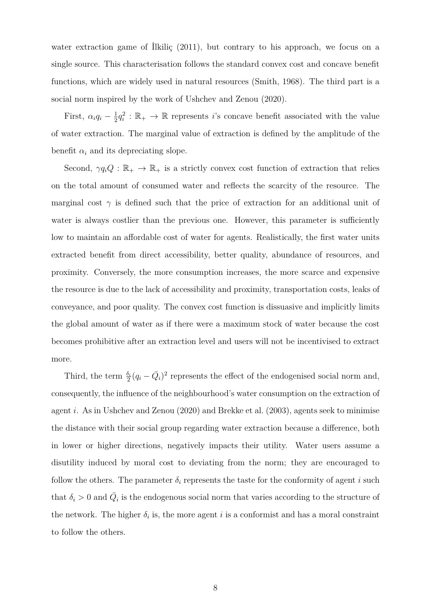water extraction game of İlkiliç (2011), but contrary to his approach, we focus on a single source. This characterisation follows the standard convex cost and concave benefit functions, which are widely used in natural resources (Smith, 1968). The third part is a social norm inspired by the work of Ushchev and Zenou (2020).

First,  $\alpha_i q_i - \frac{1}{2}$  $\frac{1}{2}q_i^2 : \mathbb{R}_+ \to \mathbb{R}$  represents *i*'s concave benefit associated with the value of water extraction. The marginal value of extraction is defined by the amplitude of the benefit  $\alpha_i$  and its depreciating slope.

Second,  $\gamma q_i Q : \mathbb{R}_+ \to \mathbb{R}_+$  is a strictly convex cost function of extraction that relies on the total amount of consumed water and reflects the scarcity of the resource. The marginal cost  $\gamma$  is defined such that the price of extraction for an additional unit of water is always costlier than the previous one. However, this parameter is sufficiently low to maintain an affordable cost of water for agents. Realistically, the first water units extracted benefit from direct accessibility, better quality, abundance of resources, and proximity. Conversely, the more consumption increases, the more scarce and expensive the resource is due to the lack of accessibility and proximity, transportation costs, leaks of conveyance, and poor quality. The convex cost function is dissuasive and implicitly limits the global amount of water as if there were a maximum stock of water because the cost becomes prohibitive after an extraction level and users will not be incentivised to extract more.

Third, the term  $\frac{\delta_i}{2}(q_i - \bar{Q}_i)^2$  represents the effect of the endogenised social norm and, consequently, the influence of the neighbourhood's water consumption on the extraction of agent *i*. As in Ushchev and Zenou (2020) and Brekke et al. (2003), agents seek to minimise the distance with their social group regarding water extraction because a difference, both in lower or higher directions, negatively impacts their utility. Water users assume a disutility induced by moral cost to deviating from the norm; they are encouraged to follow the others. The parameter  $\delta_i$  represents the taste for the conformity of agent *i* such that  $\delta_i > 0$  and  $\overline{Q}_i$  is the endogenous social norm that varies according to the structure of the network. The higher  $\delta_i$  is, the more agent *i* is a conformist and has a moral constraint to follow the others.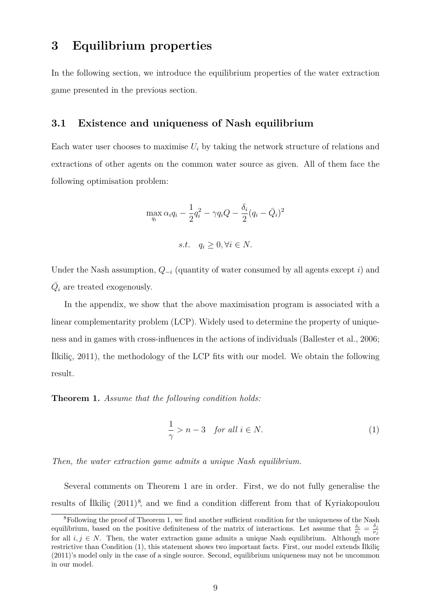### **3 Equilibrium properties**

In the following section, we introduce the equilibrium properties of the water extraction game presented in the previous section.

#### **3.1 Existence and uniqueness of Nash equilibrium**

Each water user chooses to maximise  $U_i$  by taking the network structure of relations and extractions of other agents on the common water source as given. All of them face the following optimisation problem:

$$
\max_{q_i} \alpha_i q_i - \frac{1}{2}q_i^2 - \gamma q_i Q - \frac{\delta_i}{2}(q_i - \bar{Q}_i)^2
$$

*s.t.*  $q_i ≥ 0, \forall i ∈ N$ .

Under the Nash assumption, *Q−<sup>i</sup>* (quantity of water consumed by all agents except *i*) and  $\bar{Q_i}$  are treated exogenously.

In the appendix, we show that the above maximisation program is associated with a linear complementarity problem (LCP). Widely used to determine the property of uniqueness and in games with cross-influences in the actions of individuals (Ballester et al., 2006; İlkiliç, 2011), the methodology of the LCP fits with our model. We obtain the following result.

**Theorem 1.** *Assume that the following condition holds:*

$$
\frac{1}{\gamma} > n - 3 \quad \text{for all } i \in N. \tag{1}
$$

*Then, the water extraction game admits a unique Nash equilibrium.*

Several comments on Theorem 1 are in order. First, we do not fully generalise the results of İlkiliç (2011)<sup>8</sup>, and we find a condition different from that of Kyriakopoulou

<sup>&</sup>lt;sup>8</sup>Following the proof of Theorem 1, we find another sufficient condition for the uniqueness of the Nash equilibrium, based on the positive definiteness of the matrix of interactions. Let assume that  $\frac{\delta_i}{\nu_i} = \frac{\delta_j}{\nu_j}$ *νj* for all  $i, j \in N$ . Then, the water extraction game admits a unique Nash equilibrium. Although more restrictive than Condition (1), this statement shows two important facts. First, our model extends İlkiliç (2011)'s model only in the case of a single source. Second, equilibrium uniqueness may not be uncommon in our model.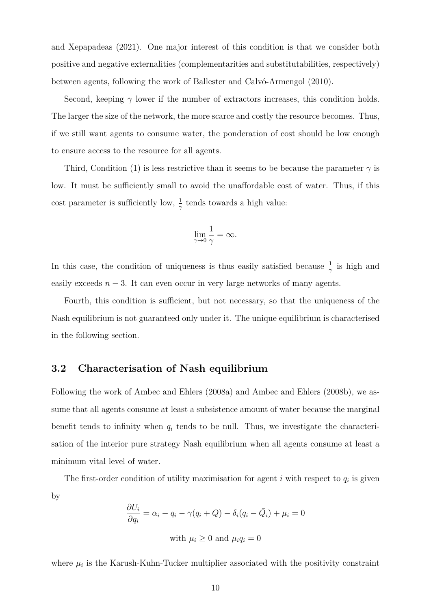and Xepapadeas (2021). One major interest of this condition is that we consider both positive and negative externalities (complementarities and substitutabilities, respectively) between agents, following the work of Ballester and Calvó-Armengol (2010).

Second, keeping  $\gamma$  lower if the number of extractors increases, this condition holds. The larger the size of the network, the more scarce and costly the resource becomes. Thus, if we still want agents to consume water, the ponderation of cost should be low enough to ensure access to the resource for all agents.

Third, Condition (1) is less restrictive than it seems to be because the parameter  $\gamma$  is low. It must be sufficiently small to avoid the unaffordable cost of water. Thus, if this cost parameter is sufficiently low,  $\frac{1}{\gamma}$  tends towards a high value:

$$
\lim_{\gamma \to 0} \frac{1}{\gamma} = \infty.
$$

In this case, the condition of uniqueness is thus easily satisfied because  $\frac{1}{\gamma}$  is high and easily exceeds  $n-3$ . It can even occur in very large networks of many agents.

Fourth, this condition is sufficient, but not necessary, so that the uniqueness of the Nash equilibrium is not guaranteed only under it. The unique equilibrium is characterised in the following section.

#### **3.2 Characterisation of Nash equilibrium**

Following the work of Ambec and Ehlers (2008a) and Ambec and Ehlers (2008b), we assume that all agents consume at least a subsistence amount of water because the marginal benefit tends to infinity when  $q_i$  tends to be null. Thus, we investigate the characterisation of the interior pure strategy Nash equilibrium when all agents consume at least a minimum vital level of water.

The first-order condition of utility maximisation for agent  $i$  with respect to  $q_i$  is given by

$$
\frac{\partial U_i}{\partial q_i} = \alpha_i - q_i - \gamma(q_i + Q) - \delta_i(q_i - \bar{Q}_i) + \mu_i = 0
$$
  
with  $\mu_i \ge 0$  and  $\mu_i q_i = 0$ 

where  $\mu_i$  is the Karush-Kuhn-Tucker multiplier associated with the positivity constraint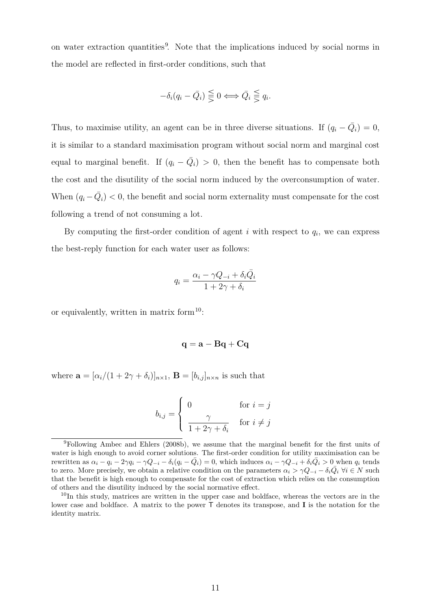on water extraction quantities<sup>9</sup>. Note that the implications induced by social norms in the model are reflected in first-order conditions, such that

$$
-\delta_i(q_i - \bar{Q}_i) \leq 0 \Longleftrightarrow \bar{Q}_i \leq q_i.
$$

Thus, to maximise utility, an agent can be in three diverse situations. If  $(q_i - \overline{Q}_i) = 0$ , it is similar to a standard maximisation program without social norm and marginal cost equal to marginal benefit. If  $(q_i - \overline{Q}_i) > 0$ , then the benefit has to compensate both the cost and the disutility of the social norm induced by the overconsumption of water. When  $(q_i - \bar{Q}_i) < 0$ , the benefit and social norm externality must compensate for the cost following a trend of not consuming a lot.

By computing the first-order condition of agent  $i$  with respect to  $q_i$ , we can express the best-reply function for each water user as follows:

$$
q_i = \frac{\alpha_i - \gamma Q_{-i} + \delta_i \bar{Q}_i}{1 + 2\gamma + \delta_i}
$$

or equivalently, written in matrix form $^{10}$ :

$$
\mathbf{q} = \mathbf{a} - \mathbf{B}\mathbf{q} + \mathbf{C}\mathbf{q}
$$

where  $\mathbf{a} = [\alpha_i/(1+2\gamma+\delta_i)]_{n\times1}$ ,  $\mathbf{B} = [b_{i,j}]_{n\times n}$  is such that

$$
b_{i,j} = \begin{cases} 0 & \text{for } i = j \\ \frac{\gamma}{1 + 2\gamma + \delta_i} & \text{for } i \neq j \end{cases}
$$

<sup>9</sup>Following Ambec and Ehlers (2008b), we assume that the marginal benefit for the first units of water is high enough to avoid corner solutions. The first-order condition for utility maximisation can be rewritten as  $\alpha_i - \tilde{q}_i - 2\gamma q_i - \gamma Q_{-i} - \delta_i(q_i - \bar{Q}_i) = 0$ , which induces  $\alpha_i - \gamma Q_{-i} + \delta_i \bar{Q}_i > 0$  when  $q_i$  tends to zero. More precisely, we obtain a relative condition on the parameters  $\alpha_i > \gamma Q_{-i} - \delta_i \overline{Q}_i \ \forall i \in N$  such that the benefit is high enough to compensate for the cost of extraction which relies on the consumption of others and the disutility induced by the social normative effect.

<sup>&</sup>lt;sup>10</sup>In this study, matrices are written in the upper case and boldface, whereas the vectors are in the lower case and boldface. A matrix to the power T denotes its transpose, and **I** is the notation for the identity matrix.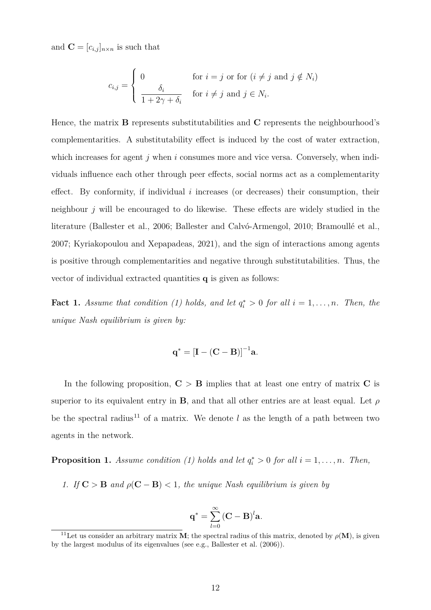and  $\mathbf{C} = [c_{i,j}]_{n \times n}$  is such that

$$
c_{i,j} = \begin{cases} 0 & \text{for } i = j \text{ or for } (i \neq j \text{ and } j \notin N_i) \\ \frac{\delta_i}{1 + 2\gamma + \delta_i} & \text{for } i \neq j \text{ and } j \in N_i. \end{cases}
$$

Hence, the matrix **B** represents substitutabilities and **C** represents the neighbourhood's complementarities. A substitutability effect is induced by the cost of water extraction, which increases for agent *j* when *i* consumes more and vice versa. Conversely, when individuals influence each other through peer effects, social norms act as a complementarity effect. By conformity, if individual *i* increases (or decreases) their consumption, their neighbour *j* will be encouraged to do likewise. These effects are widely studied in the literature (Ballester et al., 2006; Ballester and Calvó-Armengol, 2010; Bramoullé et al., 2007; Kyriakopoulou and Xepapadeas, 2021), and the sign of interactions among agents is positive through complementarities and negative through substitutabilities. Thus, the vector of individual extracted quantities **q** is given as follows:

**Fact 1.** *Assume that condition* (1) holds, and let  $q_i^* > 0$  for all  $i = 1, ..., n$ . Then, then *unique Nash equilibrium is given by:*

$$
\mathbf{q}^* = [\mathbf{I} - (\mathbf{C} - \mathbf{B})]^{-1} \mathbf{a}.
$$

In the following proposition,  $C > B$  implies that at least one entry of matrix C is superior to its equivalent entry in **B**, and that all other entries are at least equal. Let *ρ* be the spectral radius<sup>11</sup> of a matrix. We denote  $l$  as the length of a path between two agents in the network.

**Proposition 1.** *Assume condition* (1) holds and let  $q_i^* > 0$  for all  $i = 1, \ldots, n$ *. Then,* 

*1. If*  $C > B$  *and*  $\rho(C - B) < 1$ *, the unique Nash equilibrium is given by* 

$$
\mathbf{q}^* = \sum_{l=0}^{\infty} \left(\mathbf{C} - \mathbf{B}\right)^l \mathbf{a}.
$$

<sup>&</sup>lt;sup>11</sup>Let us consider an arbitrary matrix **M**; the spectral radius of this matrix, denoted by  $\rho(\mathbf{M})$ , is given by the largest modulus of its eigenvalues (see e.g., Ballester et al. (2006)).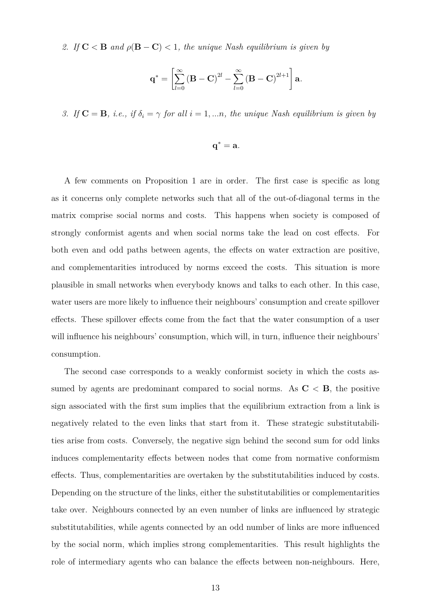2. *If*  $C < B$  *and*  $\rho(B - C) < 1$ *, the unique Nash equilibrium is given by* 

$$
\mathbf{q}^* = \left[ \sum_{l=0}^{\infty} \left( \mathbf{B} - \mathbf{C} \right)^{2l} - \sum_{l=0}^{\infty} \left( \mathbf{B} - \mathbf{C} \right)^{2l+1} \right] \mathbf{a}.
$$

*3. If*  $\mathbf{C} = \mathbf{B}$ *, i.e., if*  $\delta_i = \gamma$  *for all*  $i = 1, \dots n$ *, the unique Nash equilibrium is given by* 

$$
\mathbf{q}^* = \mathbf{a}.
$$

A few comments on Proposition 1 are in order. The first case is specific as long as it concerns only complete networks such that all of the out-of-diagonal terms in the matrix comprise social norms and costs. This happens when society is composed of strongly conformist agents and when social norms take the lead on cost effects. For both even and odd paths between agents, the effects on water extraction are positive, and complementarities introduced by norms exceed the costs. This situation is more plausible in small networks when everybody knows and talks to each other. In this case, water users are more likely to influence their neighbours' consumption and create spillover effects. These spillover effects come from the fact that the water consumption of a user will influence his neighbours' consumption, which will, in turn, influence their neighbours' consumption.

The second case corresponds to a weakly conformist society in which the costs assumed by agents are predominant compared to social norms. As  $C < B$ , the positive sign associated with the first sum implies that the equilibrium extraction from a link is negatively related to the even links that start from it. These strategic substitutabilities arise from costs. Conversely, the negative sign behind the second sum for odd links induces complementarity effects between nodes that come from normative conformism effects. Thus, complementarities are overtaken by the substitutabilities induced by costs. Depending on the structure of the links, either the substitutabilities or complementarities take over. Neighbours connected by an even number of links are influenced by strategic substitutabilities, while agents connected by an odd number of links are more influenced by the social norm, which implies strong complementarities. This result highlights the role of intermediary agents who can balance the effects between non-neighbours. Here,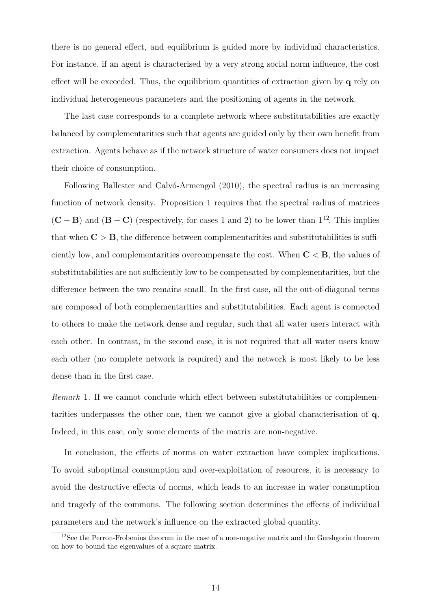there is no general effect, and equilibrium is guided more by individual characteristics. For instance, if an agent is characterised by a very strong social norm influence, the cost effect will be exceeded. Thus, the equilibrium quantities of extraction given by **q** rely on individual heterogeneous parameters and the positioning of agents in the network.

The last case corresponds to a complete network where substitutabilities are exactly balanced by complementarities such that agents are guided only by their own benefit from extraction. Agents behave as if the network structure of water consumers does not impact their choice of consumption.

Following Ballester and Calvó-Armengol (2010), the spectral radius is an increasing function of network density. Proposition 1 requires that the spectral radius of matrices  $({\bf C}-{\bf B})$  and  $({\bf B}-{\bf C})$  (respectively, for cases 1 and 2) to be lower than  $1^{12}$ . This implies that when  $C > B$ , the difference between complementarities and substitutabilities is sufficiently low, and complementarities overcompensate the cost. When **C** *<* **B**, the values of substitutabilities are not sufficiently low to be compensated by complementarities, but the difference between the two remains small. In the first case, all the out-of-diagonal terms are composed of both complementarities and substitutabilities. Each agent is connected to others to make the network dense and regular, such that all water users interact with each other. In contrast, in the second case, it is not required that all water users know each other (no complete network is required) and the network is most likely to be less dense than in the first case.

*Remark* 1. If we cannot conclude which effect between substitutabilities or complementarities underpasses the other one, then we cannot give a global characterisation of **q**. Indeed, in this case, only some elements of the matrix are non-negative.

In conclusion, the effects of norms on water extraction have complex implications. To avoid suboptimal consumption and over-exploitation of resources, it is necessary to avoid the destructive effects of norms, which leads to an increase in water consumption and tragedy of the commons. The following section determines the effects of individual parameters and the network's influence on the extracted global quantity.

<sup>&</sup>lt;sup>12</sup>See the Perron-Frobenius theorem in the case of a non-negative matrix and the Gershgorin theorem on how to bound the eigenvalues of a square matrix.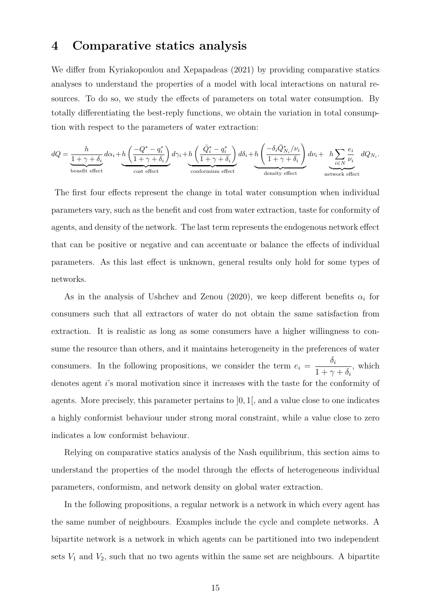# **4 Comparative statics analysis**

We differ from Kyriakopoulou and Xepapadeas (2021) by providing comparative statics analyses to understand the properties of a model with local interactions on natural resources. To do so, we study the effects of parameters on total water consumption. By totally differentiating the best-reply functions, we obtain the variation in total consumption with respect to the parameters of water extraction:

$$
dQ = \underbrace{\frac{h}{1+\gamma+\delta_i}}_{\text{benéft effect}} d\alpha_i + \underbrace{h\left(\frac{-Q^* - q_i^*}{1+\gamma+\delta_i}\right)}_{\text{cost effect}} d\gamma_i + \underbrace{h\left(\frac{\bar{Q}_i^* - q_i^*}{1+\gamma+\delta_i}\right)}_{\text{conformism effect}} d\delta_i + \underbrace{h\left(\frac{-\delta_i\bar{Q}_{N_i}^*/\nu_i}{1+\gamma+\delta_i}\right)}_{\text{density effect}} d\nu_i + \underbrace{h\sum_{i\in N}\frac{e_i}{\nu_i}}_{\text{network effect}} dQ_{N_i}.
$$

The first four effects represent the change in total water consumption when individual parameters vary, such as the benefit and cost from water extraction, taste for conformity of agents, and density of the network. The last term represents the endogenous network effect that can be positive or negative and can accentuate or balance the effects of individual parameters. As this last effect is unknown, general results only hold for some types of networks.

As in the analysis of Ushchev and Zenou (2020), we keep different benefits  $\alpha_i$  for consumers such that all extractors of water do not obtain the same satisfaction from extraction. It is realistic as long as some consumers have a higher willingness to consume the resource than others, and it maintains heterogeneity in the preferences of water consumers. In the following propositions, we consider the term  $e_i =$ *δi*  $1 + \gamma + \delta_i$ , which denotes agent *i*'s moral motivation since it increases with the taste for the conformity of agents. More precisely, this parameter pertains to ]0*,* 1[, and a value close to one indicates a highly conformist behaviour under strong moral constraint, while a value close to zero indicates a low conformist behaviour.

Relying on comparative statics analysis of the Nash equilibrium, this section aims to understand the properties of the model through the effects of heterogeneous individual parameters, conformism, and network density on global water extraction.

In the following propositions, a regular network is a network in which every agent has the same number of neighbours. Examples include the cycle and complete networks. A bipartite network is a network in which agents can be partitioned into two independent sets  $V_1$  and  $V_2$ , such that no two agents within the same set are neighbours. A bipartite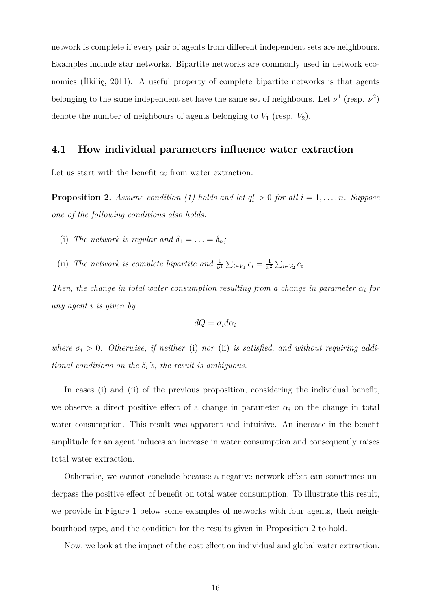network is complete if every pair of agents from different independent sets are neighbours. Examples include star networks. Bipartite networks are commonly used in network economics (İlkiliç, 2011). A useful property of complete bipartite networks is that agents belonging to the same independent set have the same set of neighbours. Let  $\nu^1$  (resp.  $\nu^2$ ) denote the number of neighbours of agents belonging to  $V_1$  (resp.  $V_2$ ).

#### **4.1 How individual parameters influence water extraction**

Let us start with the benefit  $\alpha_i$  from water extraction.

**Proposition 2.** *Assume condition* (1) holds and let  $q_i^* > 0$  for all  $i = 1, \ldots, n$ *. Suppose one of the following conditions also holds:*

- (i) *The network is regular and*  $\delta_1 = \ldots = \delta_n$ ;
- (ii) *The network is complete bipartite and*  $\frac{1}{\nu^1} \sum_{i \in V_1} e_i = \frac{1}{\nu^2}$  $\frac{1}{\nu^2} \sum_{i \in V_2} e_i$ .

*Then, the change in total water consumption resulting from a change in parameter*  $\alpha_i$  *for any agent i is given by*

$$
dQ = \sigma_i d\alpha_i
$$

*where*  $\sigma_i > 0$ . *Otherwise, if neither* (i) *nor* (ii) *is satisfied, and without requiring additional conditions on the*  $\delta_i$ '*s*, the result is ambiguous.

In cases (i) and (ii) of the previous proposition, considering the individual benefit, we observe a direct positive effect of a change in parameter  $\alpha_i$  on the change in total water consumption. This result was apparent and intuitive. An increase in the benefit amplitude for an agent induces an increase in water consumption and consequently raises total water extraction.

Otherwise, we cannot conclude because a negative network effect can sometimes underpass the positive effect of benefit on total water consumption. To illustrate this result, we provide in Figure 1 below some examples of networks with four agents, their neighbourhood type, and the condition for the results given in Proposition 2 to hold.

Now, we look at the impact of the cost effect on individual and global water extraction.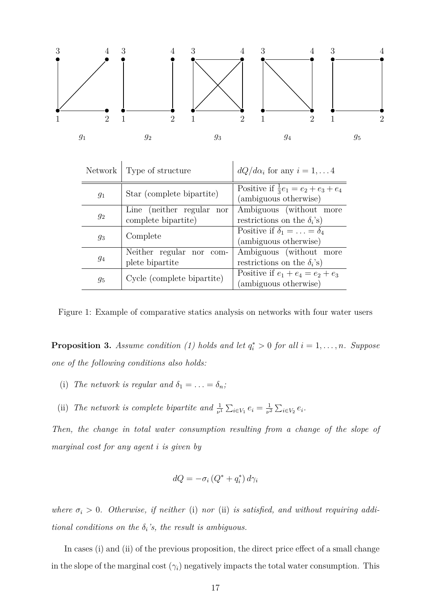

| Network | Type of structure          | $dQ/d\alpha_i$ for any $i=1,\ldots 4$                                   |
|---------|----------------------------|-------------------------------------------------------------------------|
| $g_1$   | Star (complete bipartite)  | Positive if $\frac{1}{3}e_1 = e_2 + e_3 + e_4$<br>(ambiguous otherwise) |
| $g_2$   | Line (neither regular nor  | Ambiguous (without more                                                 |
|         | complete bipartite)        | restrictions on the $\delta_i$ 's)                                      |
| $q_3$   | Complete                   | Positive if $\delta_1 = \ldots = \delta_4$                              |
|         |                            | (ambiguous otherwise)                                                   |
| 94      | Neither regular nor com-   | Ambiguous (without more                                                 |
|         | plete bipartite            | restrictions on the $\delta_i$ 's)                                      |
| $g_5$   | Cycle (complete bipartite) | Positive if $e_1 + e_4 = e_2 + e_3$                                     |
|         |                            | (ambiguous otherwise)                                                   |

Figure 1: Example of comparative statics analysis on networks with four water users

**Proposition 3.** *Assume condition* (1) holds and let  $q_i^* > 0$  for all  $i = 1, \ldots, n$ *. Suppose one of the following conditions also holds:*

- (i) *The network is regular and*  $\delta_1 = \ldots = \delta_n$ ;
- (ii) *The network is complete bipartite and*  $\frac{1}{\nu^1} \sum_{i \in V_1} e_i = \frac{1}{\nu^2}$  $\frac{1}{\nu^2} \sum_{i \in V_2} e_i$ .

*Then, the change in total water consumption resulting from a change of the slope of marginal cost for any agent i is given by*

$$
dQ = -\sigma_i \left( Q^* + q_i^* \right) d\gamma_i
$$

*where*  $\sigma_i > 0$ . Otherwise, if neither (i) nor (ii) is satisfied, and without requiring addi*tional conditions on the*  $\delta_i$ 's, the result is ambiguous.

In cases (i) and (ii) of the previous proposition, the direct price effect of a small change in the slope of the marginal cost  $(\gamma_i)$  negatively impacts the total water consumption. This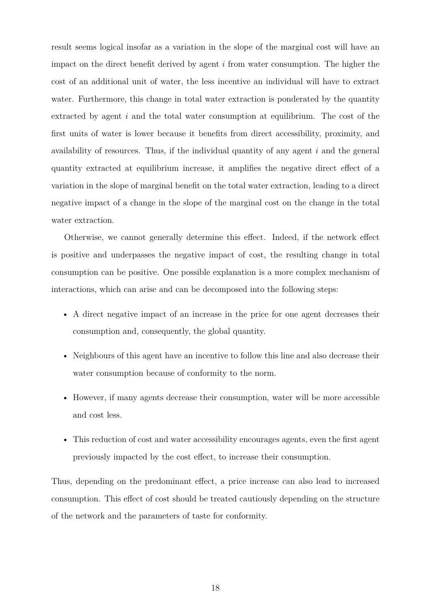result seems logical insofar as a variation in the slope of the marginal cost will have an impact on the direct benefit derived by agent *i* from water consumption. The higher the cost of an additional unit of water, the less incentive an individual will have to extract water. Furthermore, this change in total water extraction is ponderated by the quantity extracted by agent *i* and the total water consumption at equilibrium. The cost of the first units of water is lower because it benefits from direct accessibility, proximity, and availability of resources. Thus, if the individual quantity of any agent *i* and the general quantity extracted at equilibrium increase, it amplifies the negative direct effect of a variation in the slope of marginal benefit on the total water extraction, leading to a direct negative impact of a change in the slope of the marginal cost on the change in the total water extraction.

Otherwise, we cannot generally determine this effect. Indeed, if the network effect is positive and underpasses the negative impact of cost, the resulting change in total consumption can be positive. One possible explanation is a more complex mechanism of interactions, which can arise and can be decomposed into the following steps:

- A direct negative impact of an increase in the price for one agent decreases their consumption and, consequently, the global quantity.
- Neighbours of this agent have an incentive to follow this line and also decrease their water consumption because of conformity to the norm.
- However, if many agents decrease their consumption, water will be more accessible and cost less.
- This reduction of cost and water accessibility encourages agents, even the first agent previously impacted by the cost effect, to increase their consumption.

Thus, depending on the predominant effect, a price increase can also lead to increased consumption. This effect of cost should be treated cautiously depending on the structure of the network and the parameters of taste for conformity.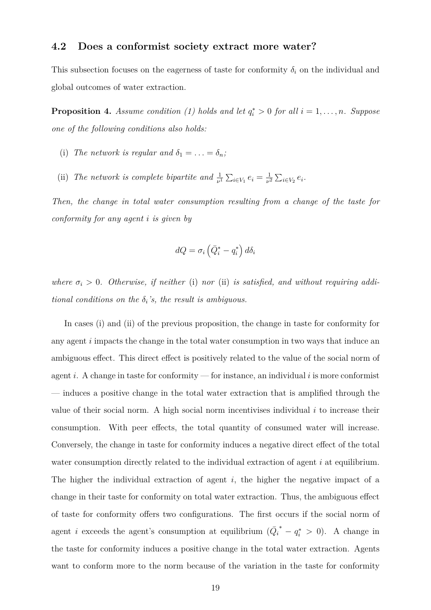#### **4.2 Does a conformist society extract more water?**

This subsection focuses on the eagerness of taste for conformity  $\delta_i$  on the individual and global outcomes of water extraction.

**Proposition 4.** *Assume condition* (1) holds and let  $q_i^* > 0$  for all  $i = 1, \ldots, n$ *. Suppose one of the following conditions also holds:*

- (i) The network is regular and  $\delta_1 = \ldots = \delta_n$ ;
- (ii) *The network is complete bipartite and*  $\frac{1}{\nu^1} \sum_{i \in V_1} e_i = \frac{1}{\nu^2}$  $\frac{1}{\nu^2} \sum_{i \in V_2} e_i$ .

*Then, the change in total water consumption resulting from a change of the taste for conformity for any agent i is given by*

$$
dQ = \sigma_i \left( \bar{Q}_i^* - q_i^* \right) d\delta_i
$$

*where*  $\sigma_i > 0$ . Otherwise, if neither (i) nor (ii) is satisfied, and without requiring addi*tional conditions on the*  $\delta_i$ 's, the result is ambiguous.

In cases (i) and (ii) of the previous proposition, the change in taste for conformity for any agent *i* impacts the change in the total water consumption in two ways that induce an ambiguous effect. This direct effect is positively related to the value of the social norm of agent *i*. A change in taste for conformity — for instance, an individual *i* is more conformist — induces a positive change in the total water extraction that is amplified through the value of their social norm. A high social norm incentivises individual *i* to increase their consumption. With peer effects, the total quantity of consumed water will increase. Conversely, the change in taste for conformity induces a negative direct effect of the total water consumption directly related to the individual extraction of agent *i* at equilibrium. The higher the individual extraction of agent *i*, the higher the negative impact of a change in their taste for conformity on total water extraction. Thus, the ambiguous effect of taste for conformity offers two configurations. The first occurs if the social norm of agent *i* exceeds the agent's consumption at equilibrium  $(Q_i)$ *∗ − q ∗ <sup>i</sup> >* 0). A change in the taste for conformity induces a positive change in the total water extraction. Agents want to conform more to the norm because of the variation in the taste for conformity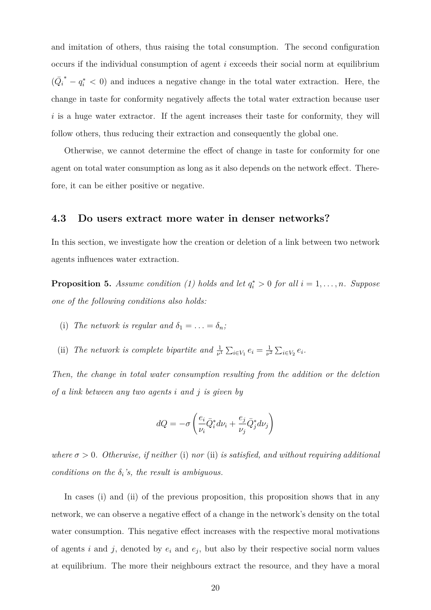and imitation of others, thus raising the total consumption. The second configuration occurs if the individual consumption of agent *i* exceeds their social norm at equilibrium  $(\bar{Q}_i$  *and induces a negative change in the total water extraction. Here, the* change in taste for conformity negatively affects the total water extraction because user *i* is a huge water extractor. If the agent increases their taste for conformity, they will follow others, thus reducing their extraction and consequently the global one.

Otherwise, we cannot determine the effect of change in taste for conformity for one agent on total water consumption as long as it also depends on the network effect. Therefore, it can be either positive or negative.

#### **4.3 Do users extract more water in denser networks?**

In this section, we investigate how the creation or deletion of a link between two network agents influences water extraction.

**Proposition 5.** Assume condition (1) holds and let  $q_i^* > 0$  for all  $i = 1, \ldots, n$ *. Suppose one of the following conditions also holds:*

- (i) *The network is regular and*  $\delta_1 = \ldots = \delta_n$ ;
- (ii) *The network is complete bipartite and*  $\frac{1}{\nu^1} \sum_{i \in V_1} e_i = \frac{1}{\nu^2}$  $\frac{1}{\nu^2} \sum_{i \in V_2} e_i$ .

*Then, the change in total water consumption resulting from the addition or the deletion of a link between any two agents i and j is given by*

$$
dQ = -\sigma \left( \frac{e_i}{\nu_i} \bar{Q}_i^* d\nu_i + \frac{e_j}{\nu_j} \bar{Q}_j^* d\nu_j \right)
$$

*where*  $\sigma > 0$ *. Otherwise, if neither* (i) *nor* (ii) *is satisfied, and without requiring additional conditions on the*  $\delta_i$ *'s, the result is ambiguous.* 

In cases (i) and (ii) of the previous proposition, this proposition shows that in any network, we can observe a negative effect of a change in the network's density on the total water consumption. This negative effect increases with the respective moral motivations of agents *i* and *j*, denoted by  $e_i$  and  $e_j$ , but also by their respective social norm values at equilibrium. The more their neighbours extract the resource, and they have a moral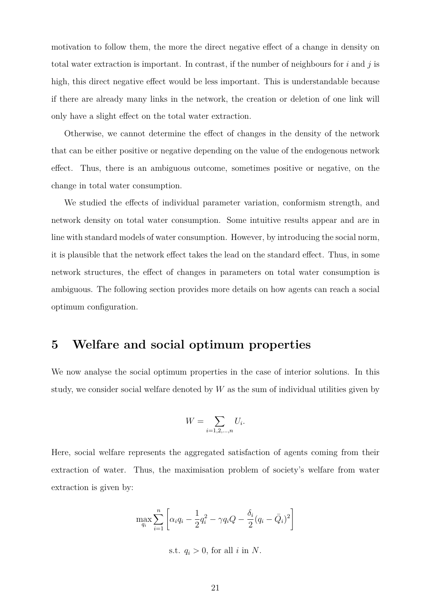motivation to follow them, the more the direct negative effect of a change in density on total water extraction is important. In contrast, if the number of neighbours for *i* and *j* is high, this direct negative effect would be less important. This is understandable because if there are already many links in the network, the creation or deletion of one link will only have a slight effect on the total water extraction.

Otherwise, we cannot determine the effect of changes in the density of the network that can be either positive or negative depending on the value of the endogenous network effect. Thus, there is an ambiguous outcome, sometimes positive or negative, on the change in total water consumption.

We studied the effects of individual parameter variation, conformism strength, and network density on total water consumption. Some intuitive results appear and are in line with standard models of water consumption. However, by introducing the social norm, it is plausible that the network effect takes the lead on the standard effect. Thus, in some network structures, the effect of changes in parameters on total water consumption is ambiguous. The following section provides more details on how agents can reach a social optimum configuration.

# **5 Welfare and social optimum properties**

We now analyse the social optimum properties in the case of interior solutions. In this study, we consider social welfare denoted by *W* as the sum of individual utilities given by

$$
W = \sum_{i=1,2,\dots,n} U_i.
$$

Here, social welfare represents the aggregated satisfaction of agents coming from their extraction of water. Thus, the maximisation problem of society's welfare from water extraction is given by:

$$
\max_{q_i} \sum_{i=1}^n \left[ \alpha_i q_i - \frac{1}{2} q_i^2 - \gamma q_i Q - \frac{\delta_i}{2} (q_i - \bar{Q}_i)^2 \right]
$$

s.t.  $q_i > 0$ , for all *i* in *N*.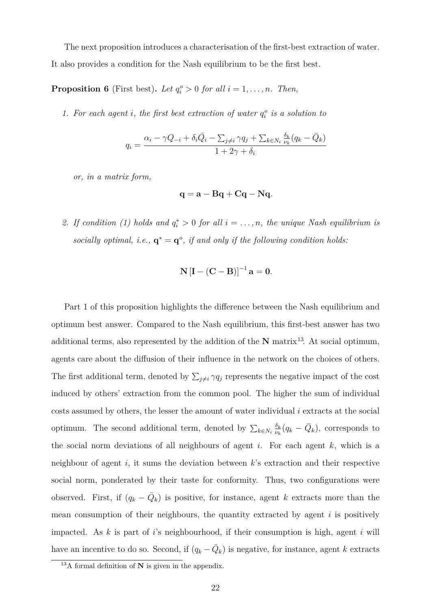The next proposition introduces a characterisation of the first-best extraction of water. It also provides a condition for the Nash equilibrium to be the first best.

**Proposition 6** (First best). Let  $q_i^o > 0$  for all  $i = 1, ..., n$ . Then,

1. For each agent *i*, the first best extraction of water  $q_i^o$  is a solution to

$$
q_i = \frac{\alpha_i - \gamma Q_{-i} + \delta_i \bar{Q}_i - \sum_{j \neq i} \gamma q_j + \sum_{k \in N_i} \frac{\delta_k}{\nu_k} (q_k - \bar{Q}_k)}{1 + 2\gamma + \delta_i}
$$

*or, in a matrix form,*

$$
\mathbf{q} = \mathbf{a} - \mathbf{B}\mathbf{q} + \mathbf{C}\mathbf{q} - \mathbf{N}\mathbf{q}.
$$

2. If condition (1) holds and  $q_i^* > 0$  for all  $i = \ldots, n$ , the unique Nash equilibrium is *socially optimal, i.e.,*  $\mathbf{q}^* = \mathbf{q}^o$ *, if and only if the following condition holds:* 

$$
\mathbf{N}\left[\mathbf{I} - (\mathbf{C} - \mathbf{B})\right]^{-1} \mathbf{a} = \mathbf{0}.
$$

Part 1 of this proposition highlights the difference between the Nash equilibrium and optimum best answer. Compared to the Nash equilibrium, this first-best answer has two additional terms, also represented by the addition of the  $N$  matrix<sup>13</sup>. At social optimum, agents care about the diffusion of their influence in the network on the choices of others. The first additional term, denoted by  $\sum_{j\neq i} \gamma q_j$  represents the negative impact of the cost induced by others' extraction from the common pool. The higher the sum of individual costs assumed by others, the lesser the amount of water individual *i* extracts at the social optimum. The second additional term, denoted by  $\sum_{k \in N_i} \frac{\delta_k}{\nu_k}$  $\frac{\delta_k}{\nu_k}(q_k - \bar{Q}_k)$ , corresponds to the social norm deviations of all neighbours of agent *i*. For each agent *k*, which is a neighbour of agent *i*, it sums the deviation between *k*'s extraction and their respective social norm, ponderated by their taste for conformity. Thus, two configurations were observed. First, if  $(q_k - \bar{Q}_k)$  is positive, for instance, agent k extracts more than the mean consumption of their neighbours, the quantity extracted by agent *i* is positively impacted. As *k* is part of *i*'s neighbourhood, if their consumption is high, agent *i* will have an incentive to do so. Second, if  $(q_k - \bar{Q}_k)$  is negative, for instance, agent *k* extracts

<sup>13</sup>A formal definition of **N** is given in the appendix.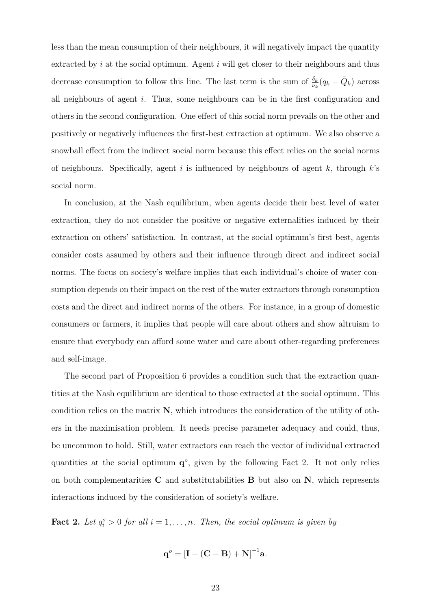less than the mean consumption of their neighbours, it will negatively impact the quantity extracted by *i* at the social optimum. Agent *i* will get closer to their neighbours and thus decrease consumption to follow this line. The last term is the sum of  $\frac{\delta_k}{\nu_k}(q_k - \bar{Q}_k)$  across all neighbours of agent *i*. Thus, some neighbours can be in the first configuration and others in the second configuration. One effect of this social norm prevails on the other and positively or negatively influences the first-best extraction at optimum. We also observe a snowball effect from the indirect social norm because this effect relies on the social norms of neighbours. Specifically, agent *i* is influenced by neighbours of agent *k*, through *k*'s social norm.

In conclusion, at the Nash equilibrium, when agents decide their best level of water extraction, they do not consider the positive or negative externalities induced by their extraction on others' satisfaction. In contrast, at the social optimum's first best, agents consider costs assumed by others and their influence through direct and indirect social norms. The focus on society's welfare implies that each individual's choice of water consumption depends on their impact on the rest of the water extractors through consumption costs and the direct and indirect norms of the others. For instance, in a group of domestic consumers or farmers, it implies that people will care about others and show altruism to ensure that everybody can afford some water and care about other-regarding preferences and self-image.

The second part of Proposition 6 provides a condition such that the extraction quantities at the Nash equilibrium are identical to those extracted at the social optimum. This condition relies on the matrix **N**, which introduces the consideration of the utility of others in the maximisation problem. It needs precise parameter adequacy and could, thus, be uncommon to hold. Still, water extractors can reach the vector of individual extracted quantities at the social optimum  $q^o$ , given by the following Fact 2. It not only relies on both complementarities **C** and substitutabilities **B** but also on **N**, which represents interactions induced by the consideration of society's welfare.

**Fact 2.** Let  $q_i^o > 0$  for all  $i = 1, \ldots, n$ . Then, the social optimum is given by

$$
\mathbf{q}^o = \left[\mathbf{I} - (\mathbf{C} - \mathbf{B}) + \mathbf{N}\right]^{-1} \mathbf{a}.
$$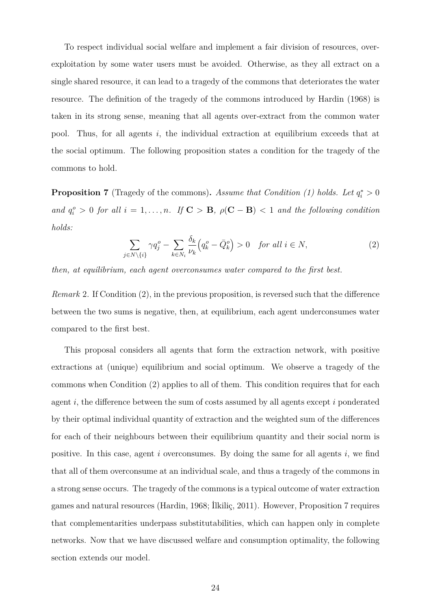To respect individual social welfare and implement a fair division of resources, overexploitation by some water users must be avoided. Otherwise, as they all extract on a single shared resource, it can lead to a tragedy of the commons that deteriorates the water resource. The definition of the tragedy of the commons introduced by Hardin (1968) is taken in its strong sense, meaning that all agents over-extract from the common water pool. Thus, for all agents *i*, the individual extraction at equilibrium exceeds that at the social optimum. The following proposition states a condition for the tragedy of the commons to hold.

**Proposition 7** (Tragedy of the commons). Assume that Condition (1) holds. Let  $q_i^* > 0$ *and*  $q_i^o > 0$  *for all*  $i = 1, \ldots, n$ *. If*  $C > B$ *,*  $\rho(C - B) < 1$  *and the following condition holds:*

$$
\sum_{j \in N \setminus \{i\}} \gamma q_j^o - \sum_{k \in N_i} \frac{\delta_k}{\nu_k} \left( q_k^o - \bar{Q}_k^o \right) > 0 \quad \text{for all } i \in N,
$$
\n
$$
(2)
$$

*then, at equilibrium, each agent overconsumes water compared to the first best.*

*Remark* 2*.* If Condition (2), in the previous proposition, is reversed such that the difference between the two sums is negative, then, at equilibrium, each agent underconsumes water compared to the first best.

This proposal considers all agents that form the extraction network, with positive extractions at (unique) equilibrium and social optimum. We observe a tragedy of the commons when Condition (2) applies to all of them. This condition requires that for each agent *i*, the difference between the sum of costs assumed by all agents except *i* ponderated by their optimal individual quantity of extraction and the weighted sum of the differences for each of their neighbours between their equilibrium quantity and their social norm is positive. In this case, agent *i* overconsumes. By doing the same for all agents *i*, we find that all of them overconsume at an individual scale, and thus a tragedy of the commons in a strong sense occurs. The tragedy of the commons is a typical outcome of water extraction games and natural resources (Hardin, 1968; İlkiliç, 2011). However, Proposition 7 requires that complementarities underpass substitutabilities, which can happen only in complete networks. Now that we have discussed welfare and consumption optimality, the following section extends our model.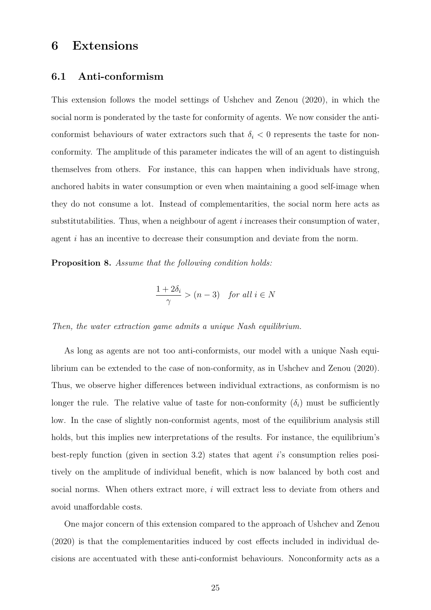# **6 Extensions**

#### **6.1 Anti-conformism**

This extension follows the model settings of Ushchev and Zenou (2020), in which the social norm is ponderated by the taste for conformity of agents. We now consider the anticonformist behaviours of water extractors such that  $\delta_i$  < 0 represents the taste for nonconformity. The amplitude of this parameter indicates the will of an agent to distinguish themselves from others. For instance, this can happen when individuals have strong, anchored habits in water consumption or even when maintaining a good self-image when they do not consume a lot. Instead of complementarities, the social norm here acts as substitutabilities. Thus, when a neighbour of agent *i* increases their consumption of water, agent *i* has an incentive to decrease their consumption and deviate from the norm.

**Proposition 8.** *Assume that the following condition holds:*

$$
\frac{1+2\delta_i}{\gamma} > (n-3) \quad \text{for all } i \in N
$$

*Then, the water extraction game admits a unique Nash equilibrium.*

As long as agents are not too anti-conformists, our model with a unique Nash equilibrium can be extended to the case of non-conformity, as in Ushchev and Zenou (2020). Thus, we observe higher differences between individual extractions, as conformism is no longer the rule. The relative value of taste for non-conformity  $(\delta_i)$  must be sufficiently low. In the case of slightly non-conformist agents, most of the equilibrium analysis still holds, but this implies new interpretations of the results. For instance, the equilibrium's best-reply function (given in section 3.2) states that agent *i*'s consumption relies positively on the amplitude of individual benefit, which is now balanced by both cost and social norms. When others extract more, *i* will extract less to deviate from others and avoid unaffordable costs.

One major concern of this extension compared to the approach of Ushchev and Zenou (2020) is that the complementarities induced by cost effects included in individual decisions are accentuated with these anti-conformist behaviours. Nonconformity acts as a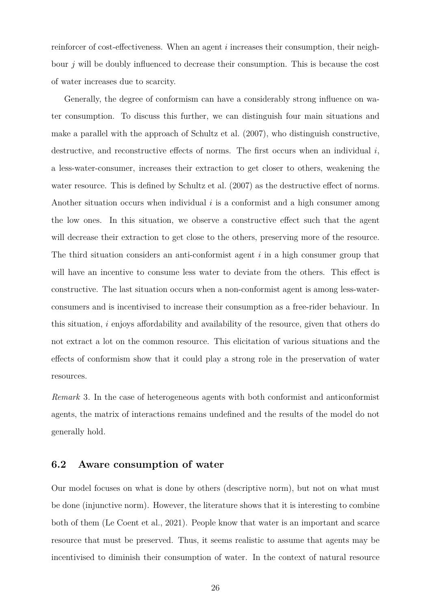reinforcer of cost-effectiveness. When an agent *i* increases their consumption, their neighbour *j* will be doubly influenced to decrease their consumption. This is because the cost of water increases due to scarcity.

Generally, the degree of conformism can have a considerably strong influence on water consumption. To discuss this further, we can distinguish four main situations and make a parallel with the approach of Schultz et al. (2007), who distinguish constructive, destructive, and reconstructive effects of norms. The first occurs when an individual *i*, a less-water-consumer, increases their extraction to get closer to others, weakening the water resource. This is defined by Schultz et al.  $(2007)$  as the destructive effect of norms. Another situation occurs when individual *i* is a conformist and a high consumer among the low ones. In this situation, we observe a constructive effect such that the agent will decrease their extraction to get close to the others, preserving more of the resource. The third situation considers an anti-conformist agent *i* in a high consumer group that will have an incentive to consume less water to deviate from the others. This effect is constructive. The last situation occurs when a non-conformist agent is among less-waterconsumers and is incentivised to increase their consumption as a free-rider behaviour. In this situation, *i* enjoys affordability and availability of the resource, given that others do not extract a lot on the common resource. This elicitation of various situations and the effects of conformism show that it could play a strong role in the preservation of water resources.

*Remark* 3*.* In the case of heterogeneous agents with both conformist and anticonformist agents, the matrix of interactions remains undefined and the results of the model do not generally hold.

#### **6.2 Aware consumption of water**

Our model focuses on what is done by others (descriptive norm), but not on what must be done (injunctive norm). However, the literature shows that it is interesting to combine both of them (Le Coent et al., 2021). People know that water is an important and scarce resource that must be preserved. Thus, it seems realistic to assume that agents may be incentivised to diminish their consumption of water. In the context of natural resource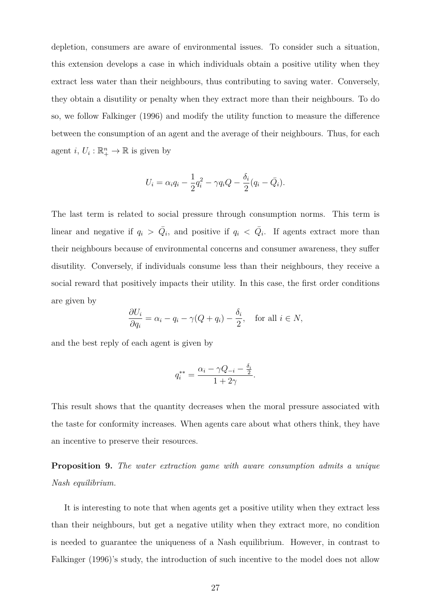depletion, consumers are aware of environmental issues. To consider such a situation, this extension develops a case in which individuals obtain a positive utility when they extract less water than their neighbours, thus contributing to saving water. Conversely, they obtain a disutility or penalty when they extract more than their neighbours. To do so, we follow Falkinger (1996) and modify the utility function to measure the difference between the consumption of an agent and the average of their neighbours. Thus, for each agent *i*,  $U_i: \mathbb{R}_+^n \to \mathbb{R}$  is given by

$$
U_i = \alpha_i q_i - \frac{1}{2} q_i^2 - \gamma q_i Q - \frac{\delta_i}{2} (q_i - \bar{Q}_i).
$$

The last term is related to social pressure through consumption norms. This term is linear and negative if  $q_i > \overline{Q}_i$ , and positive if  $q_i < \overline{Q}_i$ . If agents extract more than their neighbours because of environmental concerns and consumer awareness, they suffer disutility. Conversely, if individuals consume less than their neighbours, they receive a social reward that positively impacts their utility. In this case, the first order conditions are given by

$$
\frac{\partial U_i}{\partial q_i} = \alpha_i - q_i - \gamma(Q + q_i) - \frac{\delta_i}{2}, \quad \text{for all } i \in N,
$$

and the best reply of each agent is given by

$$
q_i^{**} = \frac{\alpha_i - \gamma Q_{-i} - \frac{\delta_i}{2}}{1 + 2\gamma}.
$$

This result shows that the quantity decreases when the moral pressure associated with the taste for conformity increases. When agents care about what others think, they have an incentive to preserve their resources.

**Proposition 9.** *The water extraction game with aware consumption admits a unique Nash equilibrium.*

It is interesting to note that when agents get a positive utility when they extract less than their neighbours, but get a negative utility when they extract more, no condition is needed to guarantee the uniqueness of a Nash equilibrium. However, in contrast to Falkinger (1996)'s study, the introduction of such incentive to the model does not allow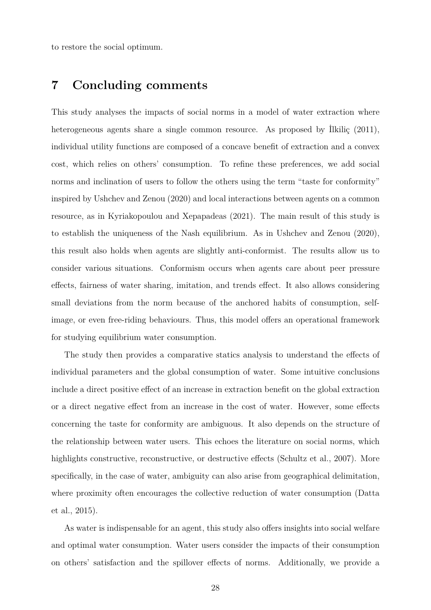to restore the social optimum.

# **7 Concluding comments**

This study analyses the impacts of social norms in a model of water extraction where heterogeneous agents share a single common resource. As proposed by Ilkilic (2011), individual utility functions are composed of a concave benefit of extraction and a convex cost, which relies on others' consumption. To refine these preferences, we add social norms and inclination of users to follow the others using the term "taste for conformity" inspired by Ushchev and Zenou (2020) and local interactions between agents on a common resource, as in Kyriakopoulou and Xepapadeas (2021). The main result of this study is to establish the uniqueness of the Nash equilibrium. As in Ushchev and Zenou (2020), this result also holds when agents are slightly anti-conformist. The results allow us to consider various situations. Conformism occurs when agents care about peer pressure effects, fairness of water sharing, imitation, and trends effect. It also allows considering small deviations from the norm because of the anchored habits of consumption, selfimage, or even free-riding behaviours. Thus, this model offers an operational framework for studying equilibrium water consumption.

The study then provides a comparative statics analysis to understand the effects of individual parameters and the global consumption of water. Some intuitive conclusions include a direct positive effect of an increase in extraction benefit on the global extraction or a direct negative effect from an increase in the cost of water. However, some effects concerning the taste for conformity are ambiguous. It also depends on the structure of the relationship between water users. This echoes the literature on social norms, which highlights constructive, reconstructive, or destructive effects (Schultz et al., 2007). More specifically, in the case of water, ambiguity can also arise from geographical delimitation, where proximity often encourages the collective reduction of water consumption (Datta et al., 2015).

As water is indispensable for an agent, this study also offers insights into social welfare and optimal water consumption. Water users consider the impacts of their consumption on others' satisfaction and the spillover effects of norms. Additionally, we provide a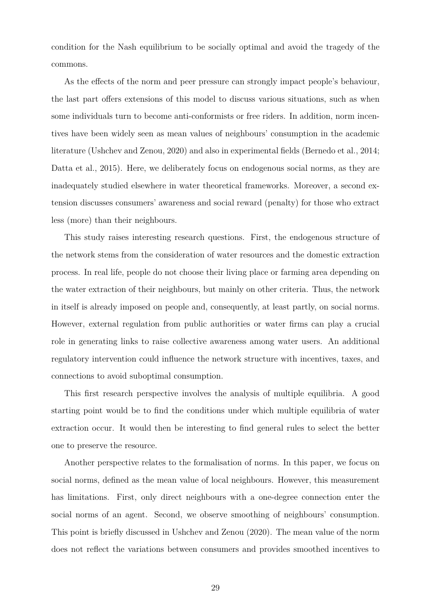condition for the Nash equilibrium to be socially optimal and avoid the tragedy of the commons.

As the effects of the norm and peer pressure can strongly impact people's behaviour, the last part offers extensions of this model to discuss various situations, such as when some individuals turn to become anti-conformists or free riders. In addition, norm incentives have been widely seen as mean values of neighbours' consumption in the academic literature (Ushchev and Zenou, 2020) and also in experimental fields (Bernedo et al., 2014; Datta et al., 2015). Here, we deliberately focus on endogenous social norms, as they are inadequately studied elsewhere in water theoretical frameworks. Moreover, a second extension discusses consumers' awareness and social reward (penalty) for those who extract less (more) than their neighbours.

This study raises interesting research questions. First, the endogenous structure of the network stems from the consideration of water resources and the domestic extraction process. In real life, people do not choose their living place or farming area depending on the water extraction of their neighbours, but mainly on other criteria. Thus, the network in itself is already imposed on people and, consequently, at least partly, on social norms. However, external regulation from public authorities or water firms can play a crucial role in generating links to raise collective awareness among water users. An additional regulatory intervention could influence the network structure with incentives, taxes, and connections to avoid suboptimal consumption.

This first research perspective involves the analysis of multiple equilibria. A good starting point would be to find the conditions under which multiple equilibria of water extraction occur. It would then be interesting to find general rules to select the better one to preserve the resource.

Another perspective relates to the formalisation of norms. In this paper, we focus on social norms, defined as the mean value of local neighbours. However, this measurement has limitations. First, only direct neighbours with a one-degree connection enter the social norms of an agent. Second, we observe smoothing of neighbours' consumption. This point is briefly discussed in Ushchev and Zenou (2020). The mean value of the norm does not reflect the variations between consumers and provides smoothed incentives to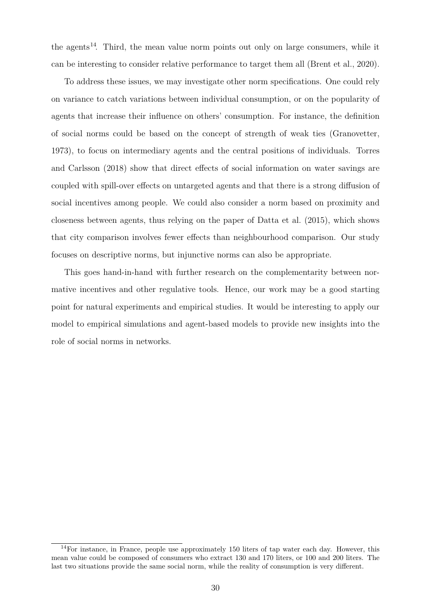the agents<sup>14</sup>. Third, the mean value norm points out only on large consumers, while it can be interesting to consider relative performance to target them all (Brent et al., 2020).

To address these issues, we may investigate other norm specifications. One could rely on variance to catch variations between individual consumption, or on the popularity of agents that increase their influence on others' consumption. For instance, the definition of social norms could be based on the concept of strength of weak ties (Granovetter, 1973), to focus on intermediary agents and the central positions of individuals. Torres and Carlsson (2018) show that direct effects of social information on water savings are coupled with spill-over effects on untargeted agents and that there is a strong diffusion of social incentives among people. We could also consider a norm based on proximity and closeness between agents, thus relying on the paper of Datta et al. (2015), which shows that city comparison involves fewer effects than neighbourhood comparison. Our study focuses on descriptive norms, but injunctive norms can also be appropriate.

This goes hand-in-hand with further research on the complementarity between normative incentives and other regulative tools. Hence, our work may be a good starting point for natural experiments and empirical studies. It would be interesting to apply our model to empirical simulations and agent-based models to provide new insights into the role of social norms in networks.

 $14$ For instance, in France, people use approximately 150 liters of tap water each day. However, this mean value could be composed of consumers who extract 130 and 170 liters, or 100 and 200 liters. The last two situations provide the same social norm, while the reality of consumption is very different.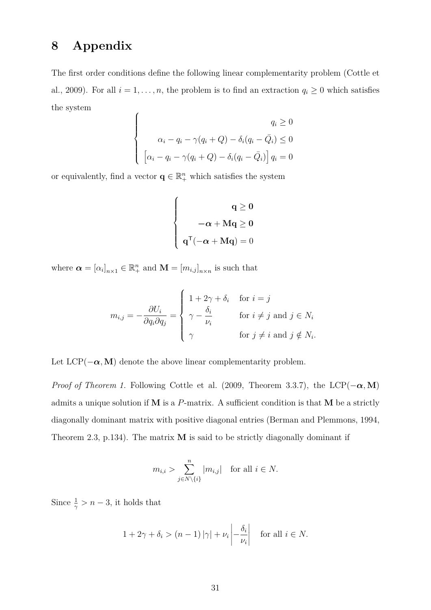# **8 Appendix**

The first order conditions define the following linear complementarity problem (Cottle et al., 2009). For all  $i = 1, \ldots, n$ , the problem is to find an extraction  $q_i \geq 0$  which satisfies the system  $\epsilon$ 

$$
\begin{cases}\n q_i \ge 0 \\
\alpha_i - q_i - \gamma(q_i + Q) - \delta_i(q_i - \bar{Q}_i) \le 0 \\
\left[\alpha_i - q_i - \gamma(q_i + Q) - \delta_i(q_i - \bar{Q}_i)\right]q_i = 0\n\end{cases}
$$

or equivalently, find a vector  $\mathbf{q} \in \mathbb{R}^n_+$  which satisfies the system

$$
\left\{ \begin{aligned} q &\geq 0 \\ -\alpha + Mq &\geq 0 \\ q^{\mathsf{T}}(-\alpha + Mq) & = 0 \end{aligned} \right.
$$

where  $\boldsymbol{\alpha} = [\alpha_i]_{n \times 1} \in \mathbb{R}_+^n$  and  $\mathbf{M} = [m_{i,j}]_{n \times n}$  is such that

$$
m_{i,j} = -\frac{\partial U_i}{\partial q_i \partial q_j} = \begin{cases} 1 + 2\gamma + \delta_i & \text{for } i = j \\ \gamma - \frac{\delta_i}{\nu_i} & \text{for } i \neq j \text{ and } j \in N_i \\ \gamma & \text{for } j \neq i \text{ and } j \notin N_i. \end{cases}
$$

Let  $LCP(-\alpha, M)$  denote the above linear complementarity problem.

*Proof of Theorem 1.* Following Cottle et al. (2009, Theorem 3.3.7), the LCP( $-\alpha$ , M) admits a unique solution if **M** is a *P*-matrix. A sufficient condition is that **M** be a strictly diagonally dominant matrix with positive diagonal entries (Berman and Plemmons, 1994, Theorem 2.3, p.134). The matrix **M** is said to be strictly diagonally dominant if

$$
m_{i,i} > \sum_{j \in N \setminus \{i\}}^n |m_{i,j}| \text{ for all } i \in N.
$$

Since  $\frac{1}{\gamma} > n - 3$ , it holds that

$$
1 + 2\gamma + \delta_i > (n - 1)|\gamma| + \nu_i \left| -\frac{\delta_i}{\nu_i} \right| \quad \text{for all } i \in N.
$$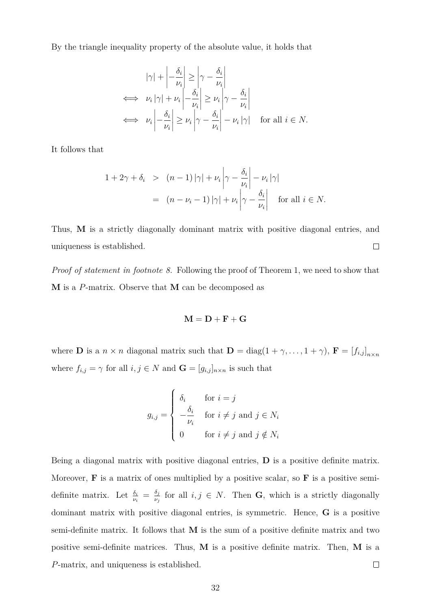By the triangle inequality property of the absolute value, it holds that

$$
|\gamma| + \left| -\frac{\delta_i}{\nu_i} \right| \ge \left| \gamma - \frac{\delta_i}{\nu_i} \right|
$$
  
\n
$$
\iff \nu_i |\gamma| + \nu_i \left| -\frac{\delta_i}{\nu_i} \right| \ge \nu_i \left| \gamma - \frac{\delta_i}{\nu_i} \right|
$$
  
\n
$$
\iff \nu_i \left| -\frac{\delta_i}{\nu_i} \right| \ge \nu_i \left| \gamma - \frac{\delta_i}{\nu_i} \right| - \nu_i |\gamma| \quad \text{for all } i \in N.
$$

It follows that

$$
\begin{array}{rcl}\n1 + 2\gamma + \delta_i > & (n-1) \left| \gamma \right| + \nu_i \left| \gamma - \frac{\delta_i}{\nu_i} \right| - \nu_i \left| \gamma \right| \\
& = & (n - \nu_i - 1) \left| \gamma \right| + \nu_i \left| \gamma - \frac{\delta_i}{\nu_i} \right| \quad \text{for all } i \in N.\n\end{array}
$$

Thus, **M** is a strictly diagonally dominant matrix with positive diagonal entries, and  $\Box$ uniqueness is established.

*Proof of statement in footnote 8.* Following the proof of Theorem 1, we need to show that **M** is a *P*-matrix. Observe that **M** can be decomposed as

$$
\mathbf{M} = \mathbf{D} + \mathbf{F} + \mathbf{G}
$$

where **D** is a  $n \times n$  diagonal matrix such that  $\mathbf{D} = \text{diag}(1 + \gamma, \dots, 1 + \gamma)$ ,  $\mathbf{F} = [f_{i,j}]_{n \times n}$ where  $f_{i,j} = \gamma$  for all  $i, j \in N$  and  $\mathbf{G} = [g_{i,j}]_{n \times n}$  is such that

$$
g_{i,j} = \begin{cases} \delta_i & \text{for } i = j \\ -\frac{\delta_i}{\nu_i} & \text{for } i \neq j \text{ and } j \in N_i \\ 0 & \text{for } i \neq j \text{ and } j \notin N_i \end{cases}
$$

Being a diagonal matrix with positive diagonal entries, **D** is a positive definite matrix. Moreover, **F** is a matrix of ones multiplied by a positive scalar, so **F** is a positive semidefinite matrix. Let  $\frac{\delta_i}{\nu_i} = \frac{\delta_j}{\nu_j}$  $\frac{\partial j}{\partial y}$  for all  $i, j \in N$ . Then **G**, which is a strictly diagonally dominant matrix with positive diagonal entries, is symmetric. Hence, **G** is a positive semi-definite matrix. It follows that **M** is the sum of a positive definite matrix and two positive semi-definite matrices. Thus, **M** is a positive definite matrix. Then, **M** is a *P*-matrix, and uniqueness is established.  $\Box$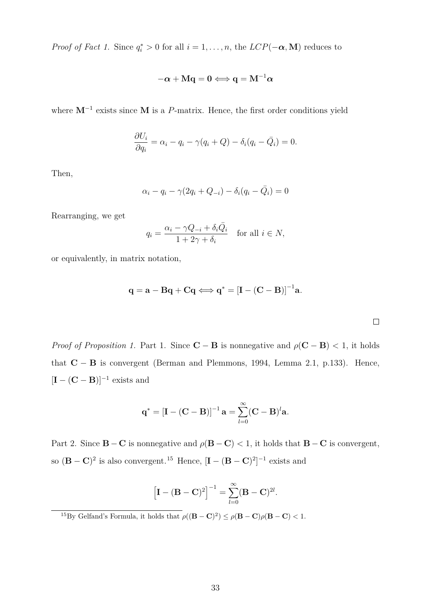*Proof of Fact 1.* Since  $q_i^* > 0$  for all  $i = 1, ..., n$ , the  $LCP(-\alpha, M)$  reduces to

$$
-\boldsymbol{\alpha}+\mathbf{M}\mathbf{q}=\mathbf{0} \Longleftrightarrow \mathbf{q}=\mathbf{M}^{-1}\boldsymbol{\alpha}
$$

where **M***<sup>−</sup>*<sup>1</sup> exists since **M** is a *P*-matrix. Hence, the first order conditions yield

$$
\frac{\partial U_i}{\partial q_i} = \alpha_i - q_i - \gamma(q_i + Q) - \delta_i(q_i - \bar{Q}_i) = 0.
$$

Then,

$$
\alpha_i - q_i - \gamma(2q_i + Q_{-i}) - \delta_i(q_i - \bar{Q}_i) = 0
$$

Rearranging, we get

$$
q_i = \frac{\alpha_i - \gamma Q_{-i} + \delta_i \bar{Q}_i}{1 + 2\gamma + \delta_i} \quad \text{for all } i \in N,
$$

or equivalently, in matrix notation,

$$
\mathbf{q} = \mathbf{a} - \mathbf{B}\mathbf{q} + \mathbf{C}\mathbf{q} \Longleftrightarrow \mathbf{q}^* = [\mathbf{I} - (\mathbf{C} - \mathbf{B})]^{-1}\mathbf{a}.
$$

 $\Box$ 

*Proof of Proposition 1.* Part 1. Since  $\mathbf{C} - \mathbf{B}$  is nonnegative and  $\rho(\mathbf{C} - \mathbf{B}) < 1$ , it holds that **C** *−* **B** is convergent (Berman and Plemmons, 1994, Lemma 2.1, p.133). Hence,  $[\mathbf{I} - (\mathbf{C} - \mathbf{B})]^{-1}$  exists and

$$
\mathbf{q}^* = \left[\mathbf{I} - (\mathbf{C} - \mathbf{B})\right]^{-1} \mathbf{a} = \sum_{l=0}^{\infty} (\mathbf{C} - \mathbf{B})^l \mathbf{a}.
$$

Part 2. Since **B**  $-$  **C** is nonnegative and  $\rho$ (**B**  $-$  **C**)  $\lt$  1, it holds that **B**  $-$  **C** is convergent, so  $(\mathbf{B} - \mathbf{C})^2$  is also convergent.<sup>15</sup> Hence,  $[\mathbf{I} - (\mathbf{B} - \mathbf{C})^2]^{-1}$  exists and

$$
\left[\mathbf{I}-(\mathbf{B}-\mathbf{C})^2\right]^{-1}=\sum_{l=0}^{\infty}(\mathbf{B}-\mathbf{C})^{2l}.
$$

<sup>15</sup>By Gelfand's Formula, it holds that  $\rho((\mathbf{B}-\mathbf{C})^2) \leq \rho(\mathbf{B}-\mathbf{C})\rho(\mathbf{B}-\mathbf{C}) < 1$ .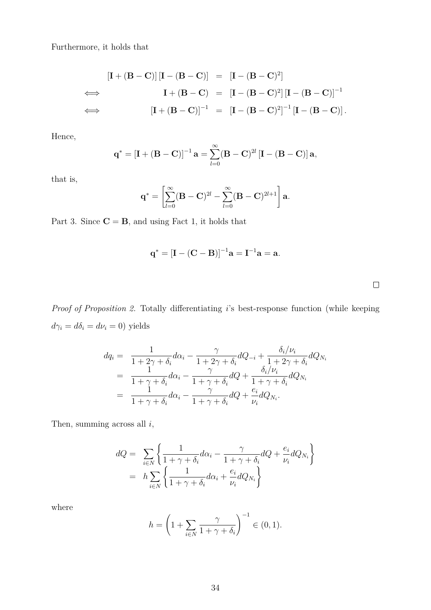Furthermore, it holds that

$$
\begin{aligned}\n\left[\mathbf{I} + (\mathbf{B} - \mathbf{C})\right] \left[\mathbf{I} - (\mathbf{B} - \mathbf{C})\right] &= \left[\mathbf{I} - (\mathbf{B} - \mathbf{C})^2\right] \\
&\iff \qquad \mathbf{I} + (\mathbf{B} - \mathbf{C}) &= \left[\mathbf{I} - (\mathbf{B} - \mathbf{C})^2\right] \left[\mathbf{I} - (\mathbf{B} - \mathbf{C})\right]^{-1} \\
&\iff \qquad \left[\mathbf{I} + (\mathbf{B} - \mathbf{C})\right]^{-1} &= \left[\mathbf{I} - (\mathbf{B} - \mathbf{C})^2\right]^{-1} \left[\mathbf{I} - (\mathbf{B} - \mathbf{C})\right].\n\end{aligned}
$$

Hence,

$$
\mathbf{q}^* = \left[\mathbf{I} + (\mathbf{B} - \mathbf{C})\right]^{-1} \mathbf{a} = \sum_{l=0}^{\infty} (\mathbf{B} - \mathbf{C})^{2l} \left[\mathbf{I} - (\mathbf{B} - \mathbf{C})\right] \mathbf{a},
$$

that is,

$$
\mathbf{q}^* = \left[ \sum_{l=0}^{\infty} (\mathbf{B} - \mathbf{C})^{2l} - \sum_{l=0}^{\infty} (\mathbf{B} - \mathbf{C})^{2l+1} \right] \mathbf{a}.
$$

Part 3. Since  $C = B$ , and using Fact 1, it holds that

$$
q^* = [I - (C - B)]^{-1}a = I^{-1}a = a.
$$

 $\Box$ 

*Proof of Proposition 2.* Totally differentiating *i*'s best-response function (while keeping  $d\gamma_i = d\delta_i = d\nu_i = 0$ ) yields

$$
dq_{i} = \frac{1}{1+2\gamma+\delta_{i}}d\alpha_{i} - \frac{\gamma}{1+2\gamma+\delta_{i}}dQ_{-i} + \frac{\delta_{i}/\nu_{i}}{1+2\gamma+\delta_{i}}dQ_{N_{i}}
$$
  
\n
$$
= \frac{1}{1+\gamma+\delta_{i}}d\alpha_{i} - \frac{\gamma}{1+\gamma+\delta_{i}}dQ + \frac{\delta_{i}/\nu_{i}}{1+\gamma+\delta_{i}}dQ_{N_{i}}
$$
  
\n
$$
= \frac{1}{1+\gamma+\delta_{i}}d\alpha_{i} - \frac{\gamma}{1+\gamma+\delta_{i}}dQ + \frac{e_{i}}{\nu_{i}}dQ_{N_{i}}.
$$

Then, summing across all *i*,

$$
dQ = \sum_{i \in N} \left\{ \frac{1}{1 + \gamma + \delta_i} d\alpha_i - \frac{\gamma}{1 + \gamma + \delta_i} dQ + \frac{e_i}{\nu_i} dQ_{N_i} \right\}
$$
  
=  $h \sum_{i \in N} \left\{ \frac{1}{1 + \gamma + \delta_i} d\alpha_i + \frac{e_i}{\nu_i} dQ_{N_i} \right\}$ 

where

$$
h = \left(1 + \sum_{i \in N} \frac{\gamma}{1 + \gamma + \delta_i}\right)^{-1} \in (0, 1).
$$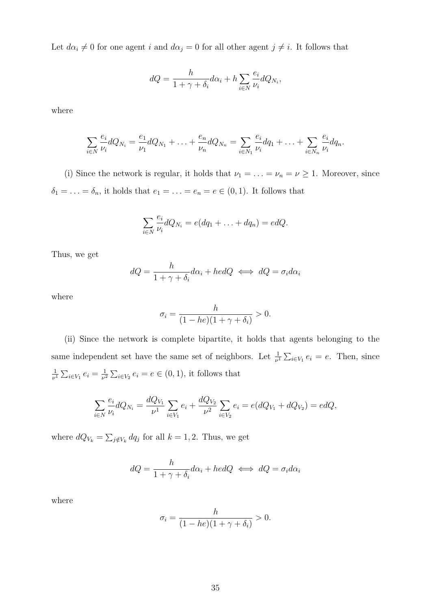Let  $d\alpha_i \neq 0$  for one agent *i* and  $d\alpha_j = 0$  for all other agent  $j \neq i$ . It follows that

$$
dQ = \frac{h}{1 + \gamma + \delta_i} d\alpha_i + h \sum_{i \in N} \frac{e_i}{\nu_i} dQ_{N_i},
$$

where

$$
\sum_{i \in N} \frac{e_i}{\nu_i} dQ_{N_i} = \frac{e_1}{\nu_1} dQ_{N_1} + \ldots + \frac{e_n}{\nu_n} dQ_{N_n} = \sum_{i \in N_1} \frac{e_i}{\nu_i} dq_1 + \ldots + \sum_{i \in N_n} \frac{e_i}{\nu_i} dq_n.
$$

(i) Since the network is regular, it holds that  $\nu_1 = \ldots = \nu_n = \nu \geq 1$ . Moreover, since  $\delta_1 = \ldots = \delta_n$ , it holds that  $e_1 = \ldots = e_n = e \in (0,1)$ . It follows that

$$
\sum_{i\in N}\frac{e_i}{\nu_i}dQ_{N_i}=e(dq_1+\ldots+dq_n)=edQ.
$$

Thus, we get

$$
dQ = \frac{h}{1 + \gamma + \delta_i} d\alpha_i + h \, dQ \iff dQ = \sigma_i d\alpha_i
$$

where

$$
\sigma_i = \frac{h}{(1 - he)(1 + \gamma + \delta_i)} > 0.
$$

(ii) Since the network is complete bipartite, it holds that agents belonging to the same independent set have the same set of neighbors. Let  $\frac{1}{\nu^1} \sum_{i \in V_1} e_i = e$ . Then, since 1  $\frac{1}{\nu^1} \sum_{i \in V_1} e_i = \frac{1}{\nu^2}$  $\frac{1}{\nu^2} \sum_{i \in V_2} e_i = e \in (0, 1)$ , it follows that

$$
\sum_{i\in N}\frac{e_i}{\nu_i}dQ_{N_i}=\frac{dQ_{V_1}}{\nu^1}\sum_{i\in V_1}e_i+\frac{dQ_{V_2}}{\nu^2}\sum_{i\in V_2}e_i=e(dQ_{V_1}+dQ_{V_2})=edQ,
$$

where  $dQ_{V_k} = \sum_{j \notin V_k} dq_j$  for all  $k = 1, 2$ . Thus, we get

$$
dQ = \frac{h}{1 + \gamma + \delta_i} d\alpha_i + hedQ \iff dQ = \sigma_i d\alpha_i
$$

where

$$
\sigma_i = \frac{h}{(1 - he)(1 + \gamma + \delta_i)} > 0.
$$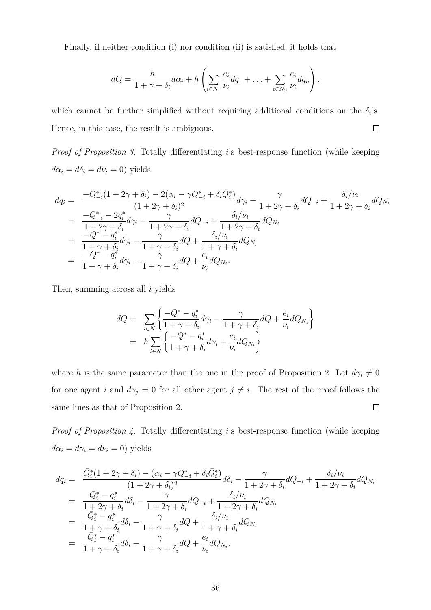Finally, if neither condition (i) nor condition (ii) is satisfied, it holds that

$$
dQ = \frac{h}{1 + \gamma + \delta_i} d\alpha_i + h \left( \sum_{i \in N_1} \frac{e_i}{\nu_i} dq_1 + \ldots + \sum_{i \in N_n} \frac{e_i}{\nu_i} dq_n \right),
$$

which cannot be further simplified without requiring additional conditions on the  $\delta_i$ 's. Hence, in this case, the result is ambiguous.  $\Box$ 

*Proof of Proposition 3.* Totally differentiating *i*'s best-response function (while keeping  $d\alpha_i = d\delta_i = d\nu_i = 0$ ) yields

$$
dq_{i} = \frac{-Q_{-i}^{*}(1+2\gamma+\delta_{i}) - 2(\alpha_{i} - \gamma Q_{-i}^{*} + \delta_{i}\bar{Q}_{i}^{*})}{(1+2\gamma+\delta_{i})^{2}}d\gamma_{i} - \frac{\gamma}{1+2\gamma+\delta_{i}}dQ_{-i} + \frac{\delta_{i}/\nu_{i}}{1+2\gamma+\delta_{i}}dQ_{N_{i}}
$$
  
\n
$$
= \frac{-Q_{-i}^{*} - 2q_{i}^{*}}{1+2\gamma+\delta_{i}}d\gamma_{i} - \frac{\gamma}{1+2\gamma+\delta_{i}}dQ_{-i} + \frac{\delta_{i}/\nu_{i}}{1+2\gamma+\delta_{i}}dQ_{N_{i}}
$$
  
\n
$$
= \frac{-Q^{*} - q_{i}^{*}}{1+\gamma+\delta_{i}}d\gamma_{i} - \frac{\gamma}{1+\gamma+\delta_{i}}dQ + \frac{\delta_{i}/\nu_{i}}{1+\gamma+\delta_{i}}dQ_{N_{i}}
$$
  
\n
$$
= \frac{-Q^{*} - q_{i}^{*}}{1+\gamma+\delta_{i}}d\gamma_{i} - \frac{\gamma}{1+\gamma+\delta_{i}}dQ + \frac{e_{i}}{\nu_{i}}dQ_{N_{i}}.
$$

Then, summing across all *i* yields

$$
dQ = \sum_{i \in N} \left\{ \frac{-Q^* - q_i^*}{1 + \gamma + \delta_i} d\gamma_i - \frac{\gamma}{1 + \gamma + \delta_i} dQ + \frac{e_i}{\nu_i} dQ_{N_i} \right\}
$$
  
= 
$$
h \sum_{i \in N} \left\{ \frac{-Q^* - q_i^*}{1 + \gamma + \delta_i} d\gamma_i + \frac{e_i}{\nu_i} dQ_{N_i} \right\}
$$

where *h* is the same parameter than the one in the proof of Proposition 2. Let  $d\gamma_i \neq 0$ for one agent *i* and  $d\gamma_j = 0$  for all other agent  $j \neq i$ . The rest of the proof follows the same lines as that of Proposition 2.  $\Box$ 

*Proof of Proposition 4.* Totally differentiating *i*'s best-response function (while keeping  $d\alpha_i = d\gamma_i = d\nu_i = 0$ ) yields

$$
dq_{i} = \frac{\bar{Q}_{i}^{*}(1+2\gamma+\delta_{i}) - (\alpha_{i}-\gamma Q_{-i}^{*}+\delta_{i}\bar{Q}_{i}^{*})}{(1+2\gamma+\delta_{i})^{2}}d\delta_{i} - \frac{\gamma}{1+2\gamma+\delta_{i}}dQ_{-i} + \frac{\delta_{i}/\nu_{i}}{1+2\gamma+\delta_{i}}dQ_{N_{i}}
$$
  
\n
$$
= \frac{\bar{Q}_{i}^{*}-q_{i}^{*}}{1+2\gamma+\delta_{i}}d\delta_{i} - \frac{\gamma}{1+2\gamma+\delta_{i}}dQ_{-i} + \frac{\delta_{i}/\nu_{i}}{1+2\gamma+\delta_{i}}dQ_{N_{i}}
$$
  
\n
$$
= \frac{\bar{Q}_{i}^{*}-q_{i}^{*}}{1+\gamma+\delta_{i}}d\delta_{i} - \frac{\gamma}{1+\gamma+\delta_{i}}dQ_{+} + \frac{\delta_{i}/\nu_{i}}{1+\gamma+\delta_{i}}dQ_{N_{i}}
$$
  
\n
$$
= \frac{\bar{Q}_{i}^{*}-q_{i}^{*}}{1+\gamma+\delta_{i}}d\delta_{i} - \frac{\gamma}{1+\gamma+\delta_{i}}dQ_{+} + \frac{e_{i}}{\nu_{i}}dQ_{N_{i}}.
$$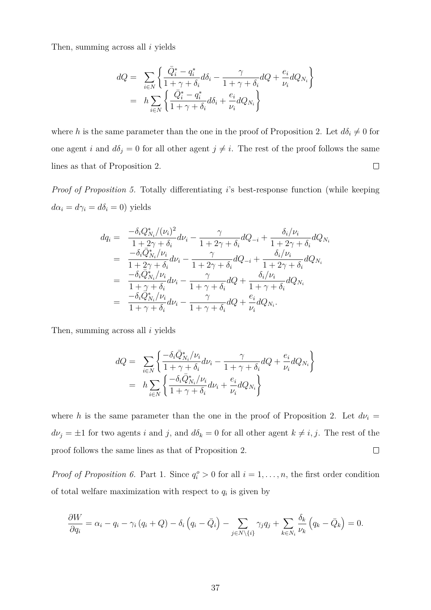Then, summing across all *i* yields

$$
dQ = \sum_{i \in N} \left\{ \frac{\bar{Q}_i^* - q_i^*}{1 + \gamma + \delta_i} d\delta_i - \frac{\gamma}{1 + \gamma + \delta_i} dQ + \frac{e_i}{\nu_i} dQ_{N_i} \right\}
$$
  
=  $h \sum_{i \in N} \left\{ \frac{\bar{Q}_i^* - q_i^*}{1 + \gamma + \delta_i} d\delta_i + \frac{e_i}{\nu_i} dQ_{N_i} \right\}$ 

where *h* is the same parameter than the one in the proof of Proposition 2. Let  $d\delta_i \neq 0$  for one agent *i* and  $d\delta_j = 0$  for all other agent  $j \neq i$ . The rest of the proof follows the same  $\Box$ lines as that of Proposition 2.

*Proof of Proposition 5.* Totally differentiating *i*'s best-response function (while keeping  $d\alpha_i = d\gamma_i = d\delta_i = 0$ ) yields

$$
dq_{i} = \frac{-\delta_{i}Q_{N_{i}}^{*}/(\nu_{i})^{2}}{1+2\gamma+\delta_{i}}d\nu_{i} - \frac{\gamma}{1+2\gamma+\delta_{i}}dQ_{-i} + \frac{\delta_{i}/\nu_{i}}{1+2\gamma+\delta_{i}}dQ_{N_{i}}
$$
  
\n
$$
= \frac{-\delta_{i}\bar{Q}_{N_{i}}^{*}/\nu_{i}}{1+2\gamma+\delta_{i}}d\nu_{i} - \frac{\gamma}{1+2\gamma+\delta_{i}}dQ_{-i} + \frac{\delta_{i}/\nu_{i}}{1+2\gamma+\delta_{i}}dQ_{N_{i}}
$$
  
\n
$$
= \frac{-\delta_{i}\bar{Q}_{N_{i}}^{*}/\nu_{i}}{1+\gamma+\delta_{i}}d\nu_{i} - \frac{\gamma}{1+\gamma+\delta_{i}}dQ + \frac{\delta_{i}/\nu_{i}}{1+\gamma+\delta_{i}}dQ_{N_{i}}
$$
  
\n
$$
= \frac{-\delta_{i}Q_{N_{i}}^{*}/\nu_{i}}{1+\gamma+\delta_{i}}d\nu_{i} - \frac{\gamma}{1+\gamma+\delta_{i}}dQ + \frac{e_{i}}{\nu_{i}}dQ_{N_{i}}.
$$

Then, summing across all *i* yields

$$
dQ = \sum_{i \in N} \left\{ \frac{-\delta_i \bar{Q}_{N_i}^* / \nu_i}{1 + \gamma + \delta_i} d\nu_i - \frac{\gamma}{1 + \gamma + \delta_i} dQ + \frac{e_i}{\nu_i} dQ_{N_i} \right\}
$$
  
=  $h \sum_{i \in N} \left\{ \frac{-\delta_i \bar{Q}_{N_i}^* / \nu_i}{1 + \gamma + \delta_i} d\nu_i + \frac{e_i}{\nu_i} dQ_{N_i} \right\}$ 

where *h* is the same parameter than the one in the proof of Proposition 2. Let  $d\nu_i =$  $d\nu_j = \pm 1$  for two agents *i* and *j*, and  $d\delta_k = 0$  for all other agent  $k \neq i, j$ . The rest of the proof follows the same lines as that of Proposition 2.  $\Box$ 

*Proof of Proposition 6.* Part 1. Since  $q_i^o > 0$  for all  $i = 1, \ldots, n$ , the first order condition of total welfare maximization with respect to  $q_i$  is given by

$$
\frac{\partial W}{\partial q_i} = \alpha_i - q_i - \gamma_i (q_i + Q) - \delta_i (q_i - \bar{Q}_i) - \sum_{j \in N \setminus \{i\}} \gamma_j q_j + \sum_{k \in N_i} \frac{\delta_k}{\nu_k} (q_k - \bar{Q}_k) = 0.
$$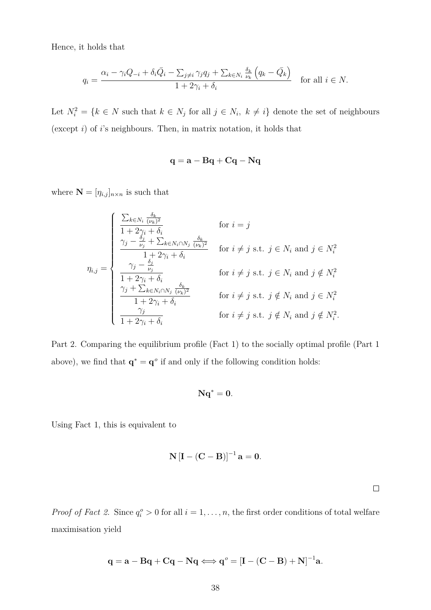Hence, it holds that

$$
q_i = \frac{\alpha_i - \gamma_i Q_{-i} + \delta_i \bar{Q}_i - \sum_{j \neq i} \gamma_j q_j + \sum_{k \in N_i} \frac{\delta_k}{\nu_k} \left( q_k - \bar{Q}_k \right)}{1 + 2\gamma_i + \delta_i} \quad \text{for all } i \in N.
$$

Let  $N_i^2 = \{k \in N \text{ such that } k \in N_j \text{ for all } j \in N_i, k \neq i\}$  denote the set of neighbours (except *i*) of *i*'s neighbours. Then, in matrix notation, it holds that

$$
\mathbf{q} = \mathbf{a} - \mathbf{B}\mathbf{q} + \mathbf{C}\mathbf{q} - \mathbf{N}\mathbf{q}
$$

where  $\mathbf{N} = [\eta_{i,j}]_{n \times n}$  is such that

 $\overline{ }$ 

$$
\eta_{i,j} = \begin{cases}\n\frac{\sum_{k \in N_i} \frac{\delta_k}{(\nu_k)^2}}{1 + 2\gamma_i + \delta_i} & \text{for } i = j \\
\frac{\gamma_j - \frac{\delta_j}{\nu_j} + \sum_{k \in N_i \cap N_j} \frac{\delta_k}{(\nu_k)^2}}{1 + 2\gamma_i + \delta_i} & \text{for } i \neq j \text{ s.t. } j \in N_i \text{ and } j \in N_i^2 \\
\frac{\gamma_j - \frac{\delta_j}{\nu_j}}{1 + 2\gamma_i + \delta_i} & \text{for } i \neq j \text{ s.t. } j \in N_i \text{ and } j \notin N_i^2 \\
\frac{\gamma_j + \sum_{k \in N_i \cap N_j} \frac{\delta_k}{(\nu_k)^2}}{1 + 2\gamma_i + \delta_i} & \text{for } i \neq j \text{ s.t. } j \notin N_i \text{ and } j \in N_i^2 \\
\frac{\gamma_j}{1 + 2\gamma_i + \delta_i} & \text{for } i \neq j \text{ s.t. } j \notin N_i \text{ and } j \notin N_i^2.\n\end{cases}
$$

Part 2. Comparing the equilibrium profile (Fact 1) to the socially optimal profile (Part 1 above), we find that  $\mathbf{q}^* = \mathbf{q}^o$  if and only if the following condition holds:

$$
Nq^* = 0.
$$

Using Fact 1, this is equivalent to

$$
\mathbf{N}\left[\mathbf{I}-(\mathbf{C}-\mathbf{B})\right]^{-1}\mathbf{a}=\mathbf{0}.
$$

 $\Box$ 

*Proof of Fact 2.* Since  $q_i^o > 0$  for all  $i = 1, ..., n$ , the first order conditions of total welfare maximisation yield

$$
\mathbf{q} = \mathbf{a} - \mathbf{B}\mathbf{q} + \mathbf{C}\mathbf{q} - \mathbf{N}\mathbf{q} \Longleftrightarrow \mathbf{q}^o = [\mathbf{I} - (\mathbf{C} - \mathbf{B}) + \mathbf{N}]^{-1}\mathbf{a}.
$$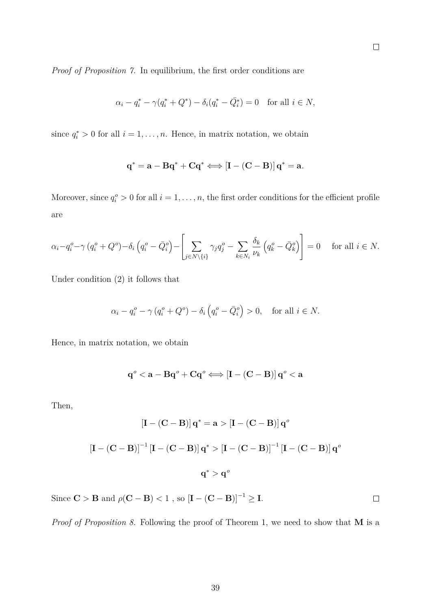*Proof of Proposition 7.* In equilibrium, the first order conditions are

$$
\alpha_i - q_i^* - \gamma (q_i^* + Q^*) - \delta_i (q_i^* - \bar{Q}_i^*) = 0
$$
 for all  $i \in N$ ,

since  $q_i^* > 0$  for all  $i = 1, \ldots, n$ . Hence, in matrix notation, we obtain

$$
\mathbf{q}^* = \mathbf{a} - \mathbf{B}\mathbf{q}^* + \mathbf{C}\mathbf{q}^* \Longleftrightarrow \left[\mathbf{I} - (\mathbf{C} - \mathbf{B})\right]\mathbf{q}^* = \mathbf{a}.
$$

Moreover, since  $q_i^o > 0$  for all  $i = 1, \ldots, n$ , the first order conditions for the efficient profile are

$$
\alpha_i - q_i^o - \gamma \left( q_i^o + Q^o \right) - \delta_i \left( q_i^o - \bar{Q}_i^o \right) - \left[ \sum_{j \in N \setminus \{i\}} \gamma_j q_j^o - \sum_{k \in N_i} \frac{\delta_k}{\nu_k} \left( q_k^o - \bar{Q}_k^o \right) \right] = 0 \quad \text{ for all } i \in N.
$$

Under condition (2) it follows that

$$
\alpha_i - q_i^o - \gamma \left( q_i^o + Q^o \right) - \delta_i \left( q_i^o - \bar{Q}_i^o \right) > 0, \quad \text{for all } i \in N.
$$

Hence, in matrix notation, we obtain

$$
q^{\textnormal{o}} < a - Bq^{\textnormal{o}} + Cq^{\textnormal{o}} \Longleftrightarrow \left[ I - (C-B) \right] q^{\textnormal{o}} < a
$$

Then,

$$
\left[\mathbf{I} - (\mathbf{C} - \mathbf{B})\right] \mathbf{q}^* = \mathbf{a} > \left[\mathbf{I} - (\mathbf{C} - \mathbf{B})\right] \mathbf{q}^o
$$
  

$$
\left[\mathbf{I} - (\mathbf{C} - \mathbf{B})\right]^{-1} \left[\mathbf{I} - (\mathbf{C} - \mathbf{B})\right] \mathbf{q}^* > \left[\mathbf{I} - (\mathbf{C} - \mathbf{B})\right]^{-1} \left[\mathbf{I} - (\mathbf{C} - \mathbf{B})\right] \mathbf{q}^o
$$
  

$$
\mathbf{q}^* > \mathbf{q}^o
$$

Since  $\mathbf{C} > \mathbf{B}$  and  $\rho(\mathbf{C} - \mathbf{B}) < 1$  , so  $\left[\mathbf{I} - (\mathbf{C} - \mathbf{B})\right]^{-1} \geq \mathbf{I}$ .

*Proof of Proposition 8.* Following the proof of Theorem 1, we need to show that **M** is a

 $\Box$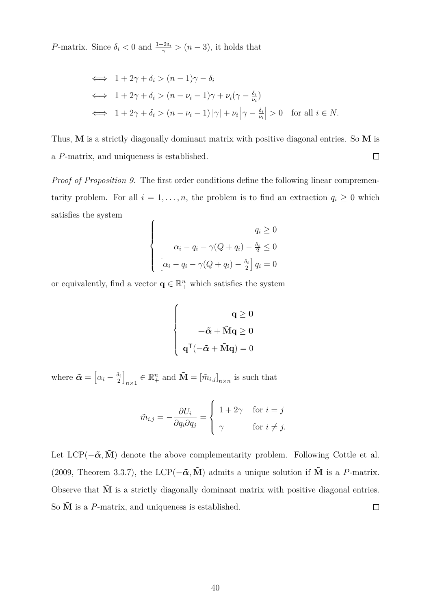*P*-matrix. Since  $\delta_i < 0$  and  $\frac{1+2\delta_i}{\gamma} > (n-3)$ , it holds that

$$
\iff 1 + 2\gamma + \delta_i > (n - 1)\gamma - \delta_i
$$
\n
$$
\iff 1 + 2\gamma + \delta_i > (n - \nu_i - 1)\gamma + \nu_i(\gamma - \frac{\delta_i}{\nu_i})
$$
\n
$$
\iff 1 + 2\gamma + \delta_i > (n - \nu_i - 1)|\gamma| + \nu_i\left|\gamma - \frac{\delta_i}{\nu_i}\right| > 0 \quad \text{for all } i \in N.
$$

Thus, **M** is a strictly diagonally dominant matrix with positive diagonal entries. So **M** is  $\Box$ a *P*-matrix, and uniqueness is established.

*Proof of Proposition 9.* The first order conditions define the following linear comprementarity problem. For all  $i = 1, \ldots, n$ , the problem is to find an extraction  $q_i \geq 0$  which satisfies the system  $\epsilon$ 

$$
\begin{cases}\n q_i \ge 0 \\
 \alpha_i - q_i - \gamma(Q + q_i) - \frac{\delta_i}{2} \le 0 \\
 \left[ \alpha_i - q_i - \gamma(Q + q_i) - \frac{\delta_i}{2} \right] q_i = 0\n \end{cases}
$$

or equivalently, find a vector  $\mathbf{q} \in \mathbb{R}^n_+$  which satisfies the system

$$
\left\{ \begin{array}{c} \mathbf{q} \geq \mathbf{0} \\ \\ -\tilde{\boldsymbol{\alpha}} + \tilde{\mathbf{M}} \mathbf{q} \geq \mathbf{0} \\ \\ \mathbf{q}^\mathsf{T}(-\tilde{\boldsymbol{\alpha}} + \tilde{\mathbf{M}} \mathbf{q}) = 0 \end{array} \right.
$$

where  $\boldsymbol{\tilde{\alpha}} = \left[ \alpha_i - \frac{\delta_i}{2} \right]$  $\frac{\delta_i}{2}$  $\mathbf{m}$ <sup>*n*</sup>  $\in \mathbb{R}^n_+$  and  $\mathbf{\tilde{M}} = [\tilde{m}_{i,j}]_{n \times n}$  is such that

$$
\tilde{m}_{i,j} = -\frac{\partial U_i}{\partial q_i \partial q_j} = \begin{cases} 1 + 2\gamma & \text{for } i = j \\ \gamma & \text{for } i \neq j. \end{cases}
$$

Let  $LCP(-\tilde{\alpha}, \tilde{M})$  denote the above complementarity problem. Following Cottle et al. (2009, Theorem 3.3.7), the LCP( $-\tilde{\alpha}$ ,  $\tilde{M}$ ) admits a unique solution if  $\tilde{M}$  is a *P*-matrix. Observe that  $\tilde{M}$  is a strictly diagonally dominant matrix with positive diagonal entries. So  $\tilde{M}$  is a *P*-matrix, and uniqueness is established.  $\Box$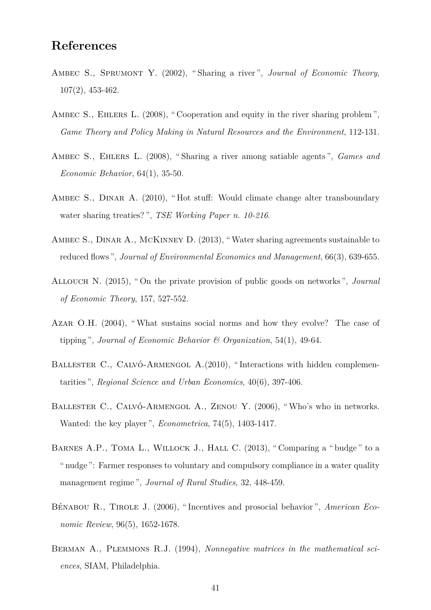# **References**

- Ambec S., Sprumont Y. (2002), " Sharing a river ", *Journal of Economic Theory*, 107(2), 453-462.
- AMBEC S., EHLERS L. (2008), "Cooperation and equity in the river sharing problem", *Game Theory and Policy Making in Natural Resources and the Environment*, 112-131.
- Ambec S., Ehlers L. (2008), " Sharing a river among satiable agents ", *Games and Economic Behavior*, 64(1), 35-50.
- AMBEC S., DINAR A. (2010), "Hot stuff: Would climate change alter transboundary water sharing treaties? ", *TSE Working Paper n. 10-216*.
- Ambec S., Dinar A., McKinney D. (2013), "Water sharing agreements sustainable to reduced flows ", *Journal of Environmental Economics and Management*, 66(3), 639-655.
- Allouch N. (2015), " On the private provision of public goods on networks ", *Journal of Economic Theory*, 157, 527-552.
- Azar O.H. (2004), "What sustains social norms and how they evolve? The case of tipping ", *Journal of Economic Behavior & Organization*, 54(1), 49-64.
- BALLESTER C., CALVÓ-ARMENGOL A.(2010), "Interactions with hidden complementarities ", *Regional Science and Urban Economics*, 40(6), 397-406.
- BALLESTER C., CALVÓ-ARMENGOL A., ZENOU Y. (2006), "Who's who in networks. Wanted: the key player ", *Econometrica*, 74(5), 1403-1417.
- BARNES A.P., TOMA L., WILLOCK J., HALL C. (2013), "Comparing a "budge" to a " nudge ": Farmer responses to voluntary and compulsory compliance in a water quality management regime ", *Journal of Rural Studies*, 32, 448-459.
- Bénabou R., Tirole J. (2006), " Incentives and prosocial behavior ", *American Economic Review*, 96(5), 1652-1678.
- Berman A., Plemmons R.J. (1994), *Nonnegative matrices in the mathematical sciences*, SIAM, Philadelphia.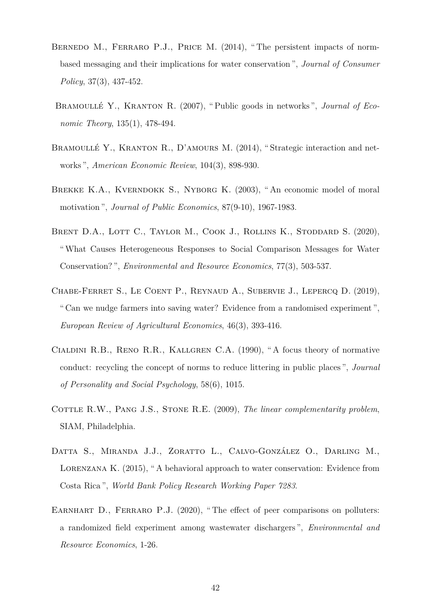- BERNEDO M., FERRARO P.J., PRICE M. (2014), "The persistent impacts of normbased messaging and their implications for water conservation ", *Journal of Consumer Policy*, 37(3), 437-452.
- Bramoullé Y., Kranton R. (2007), " Public goods in networks ", *Journal of Economic Theory*, 135(1), 478-494.
- Bramoullé Y., Kranton R., D'amours M. (2014), " Strategic interaction and networks ", *American Economic Review*, 104(3), 898-930.
- BREKKE K.A., KVERNDOKK S., NYBORG K. (2003), "An economic model of moral motivation ", *Journal of Public Economics*, 87(9-10), 1967-1983.
- BRENT D.A., LOTT C., TAYLOR M., COOK J., ROLLINS K., STODDARD S. (2020), "What Causes Heterogeneous Responses to Social Comparison Messages for Water Conservation? ", *Environmental and Resource Economics*, 77(3), 503-537.
- Chabe-Ferret S., Le Coent P., Reynaud A., Subervie J., Lepercq D. (2019), " Can we nudge farmers into saving water? Evidence from a randomised experiment ", *European Review of Agricultural Economics*, 46(3), 393-416.
- Cialdini R.B., Reno R.R., Kallgren C.A. (1990), " A focus theory of normative conduct: recycling the concept of norms to reduce littering in public places ", *Journal of Personality and Social Psychology*, 58(6), 1015.
- COTTLE R.W., PANG J.S., STONE R.E. (2009), *The linear complementarity problem*, SIAM, Philadelphia.
- Datta S., Miranda J.J., Zoratto L., Calvo-González O., Darling M., LORENZANA K. (2015), "A behavioral approach to water conservation: Evidence from Costa Rica ", *World Bank Policy Research Working Paper 7283*.
- EARNHART D., FERRARO P.J. (2020), "The effect of peer comparisons on polluters: a randomized field experiment among wastewater dischargers ", *Environmental and Resource Economics*, 1-26.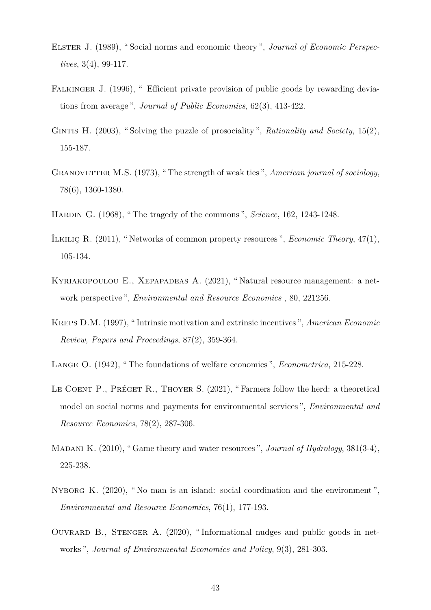- ELSTER J. (1989), "Social norms and economic theory", *Journal of Economic Perspectives*, 3(4), 99-117.
- FALKINGER J. (1996), " Efficient private provision of public goods by rewarding deviations from average ", *Journal of Public Economics*, 62(3), 413-422.
- GINTIS H. (2003), "Solving the puzzle of prosociality", *Rationality and Society*, 15(2), 155-187.
- GRANOVETTER M.S. (1973), "The strength of weak ties", *American journal of sociology*, 78(6), 1360-1380.
- Hardin G. (1968), " The tragedy of the commons ", *Science*, 162, 1243-1248.
- İlkılıç R. (2011), " Networks of common property resources ", *Economic Theory*, 47(1), 105-134.
- Kyriakopoulou E., Xepapadeas A. (2021), " Natural resource management: a network perspective ", *Environmental and Resource Economics* , 80, 221256.
- Kreps D.M. (1997), " Intrinsic motivation and extrinsic incentives ", *American Economic Review, Papers and Proceedings*, 87(2), 359-364.
- Lange O. (1942), " The foundations of welfare economics ", *Econometrica*, 215-228.
- LE COENT P., PRÉGET R., THOYER S. (2021), "Farmers follow the herd: a theoretical model on social norms and payments for environmental services ", *Environmental and Resource Economics*, 78(2), 287-306.
- Madani K. (2010), " Game theory and water resources ", *Journal of Hydrology*, 381(3-4), 225-238.
- NYBORG K. (2020), "No man is an island: social coordination and the environment". *Environmental and Resource Economics*, 76(1), 177-193.
- Ouvrard B., Stenger A. (2020), " Informational nudges and public goods in networks ", *Journal of Environmental Economics and Policy*, 9(3), 281-303.